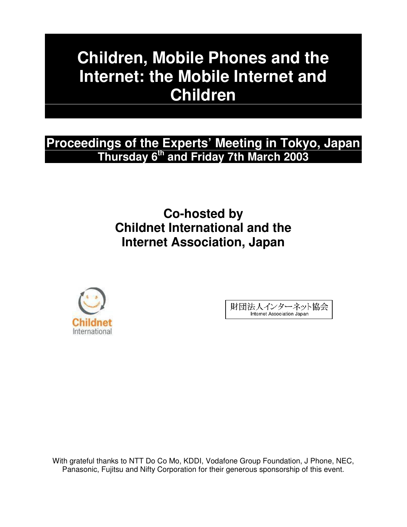# **Children, Mobile Phones and the Internet: the Mobile Internet and Children**

# **Proceedings of the Experts' Meeting in Tokyo, Japan Thursday 6 th and Friday 7th March 2003**

# **Co-hosted by Childnet International and the Internet Association, Japan**



財団法人インターネット協会 Internet Association Japan

With grateful thanks to NTT Do Co Mo, KDDI, Vodafone Group Foundation, J Phone, NEC, Panasonic, Fujitsu and Nifty Corporation for their generous sponsorship of this event.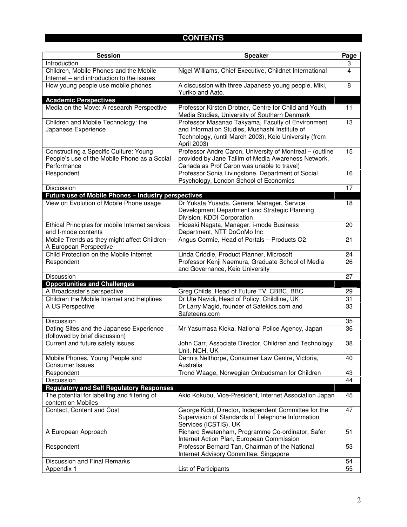# **CONTENTS**

| <b>Session</b>                                                                      | <b>Speaker</b>                                                                                         | Page |
|-------------------------------------------------------------------------------------|--------------------------------------------------------------------------------------------------------|------|
| Introduction                                                                        |                                                                                                        | 3    |
| Children, Mobile Phones and the Mobile<br>Internet - and introduction to the issues | Nigel Williams, Chief Executive, Childnet International                                                | 4    |
| How young people use mobile phones                                                  | A discussion with three Japanese young people, Miki,                                                   | 8    |
|                                                                                     | Yuriko and Aato.                                                                                       |      |
| <b>Academic Perspectives</b>                                                        |                                                                                                        |      |
| Media on the Move: A research Perspective                                           | Professor Kirsten Drotner, Centre for Child and Youth<br>Media Studies, University of Southern Denmark | 11   |
| Children and Mobile Technology: the                                                 | Professor Masanao Takyama, Faculty of Environment                                                      | 13   |
| Japanese Experience                                                                 | and Information Studies, Mushashi Institute of                                                         |      |
|                                                                                     | Technology, (until March 2003), Keio University (from<br>April 2003)                                   |      |
| Constructing a Specific Culture: Young                                              | Professor Andre Caron, University of Montreal - (outline                                               | 15   |
| People's use of the Mobile Phone as a Social                                        | provided by Jane Tallim of Media Awareness Network,                                                    |      |
| Performance                                                                         | Canada as Prof Caron was unable to travel)                                                             |      |
| Respondent                                                                          | Professor Sonia Livingstone, Department of Social                                                      | 16   |
|                                                                                     | Psychology, London School of Economics                                                                 |      |
| Discussion                                                                          |                                                                                                        | 17   |
| Future use of Mobile Phones - Industry perspectives                                 |                                                                                                        |      |
| View on Evolution of Mobile Phone usage                                             | Dr Yukata Yusada, General Manager, Service<br>Development Department and Strategic Planning            | 18   |
|                                                                                     | Division, KDDI Corporation                                                                             |      |
| Ethical Principles for mobile Internet services                                     | Hideaki Nagata, Manager, i-mode Business                                                               | 20   |
| and I-mode contents                                                                 | Department, NTT DoCoMo Inc                                                                             |      |
| Mobile Trends as they might affect Children -                                       | Angus Cormie, Head of Portals - Products O2                                                            | 21   |
| A European Perspective                                                              |                                                                                                        |      |
| Child Protection on the Mobile Internet                                             | Linda Criddle, Product Planner, Microsoft                                                              | 24   |
| Respondent                                                                          | Professor Kenji Naemura, Graduate School of Media                                                      | 26   |
| Discussion                                                                          | and Governance, Keio University                                                                        | 27   |
| <b>Opportunities and Challenges</b>                                                 |                                                                                                        |      |
| A Broadcaster's perspective                                                         | Greg Childs, Head of Future TV, CBBC, BBC                                                              | 29   |
| Children the Mobile Internet and Helplines                                          | Dr Ute Navidi, Head of Policy, Childline, UK                                                           | 31   |
| A US Perspective                                                                    | Dr Larry Magid, founder of Safekids.com and                                                            | 33   |
|                                                                                     | Safeteens.com                                                                                          |      |
| Discussion                                                                          |                                                                                                        | 35   |
| Dating Sites and the Japanese Experience<br>(followed by brief discussion)          | Mr Yasumasa Kioka, National Police Agency, Japan                                                       | 36   |
| Current and future safety issues                                                    | John Carr, Associate Director, Children and Technology                                                 | 38   |
| Mobile Phones, Young People and                                                     | Unit, NCH, UK<br>Dennis Nelthorpe, Consumer Law Centre, Victoria,                                      | 40   |
| <b>Consumer Issues</b>                                                              | Australia                                                                                              |      |
| Respondent                                                                          | Trond Waage, Norwegian Ombudsman for Children                                                          | 43   |
| Discussion                                                                          |                                                                                                        | 44   |
| <b>Regulatory and Self Regulatory Responses</b>                                     |                                                                                                        |      |
| The potential for labelling and filtering of<br>content on Mobiles                  | Akio Kokubu, Vice-President, Internet Association Japan                                                | 45   |
| Contact, Content and Cost                                                           | George Kidd, Director, Independent Committee for the                                                   | 47   |
|                                                                                     | Supervision of Standards of Telephone Information<br>Services (ICSTIS), UK                             |      |
| A European Approach                                                                 | Richard Swetenham, Programme Co-ordinator, Safer                                                       | 51   |
|                                                                                     | Internet Action Plan, European Commission                                                              |      |
| Respondent                                                                          | Professor Bernard Tan, Chairman of the National                                                        | 53   |
|                                                                                     | Internet Advisory Committee, Singapore                                                                 |      |
| <b>Discussion and Final Remarks</b>                                                 |                                                                                                        | 54   |
| Appendix 1                                                                          | List of Participants                                                                                   | 55   |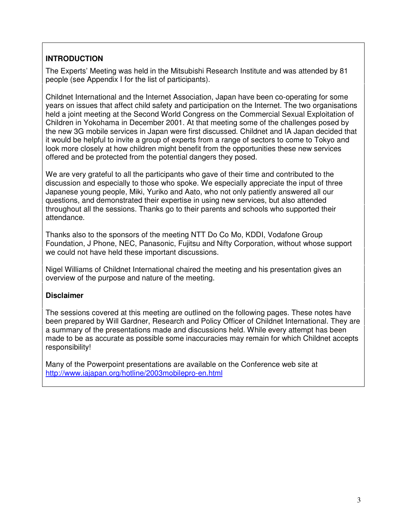### **INTRODUCTION**

The Experts' Meeting was held in the Mitsubishi Research Institute and was attended by 81 people (see Appendix I for the list of participants).

Childnet International and the Internet Association, Japan have been co-operating for some years on issues that affect child safety and participation on the Internet. The two organisations held a joint meeting at the Second World Congress on the Commercial Sexual Exploitation of Children in Yokohama in December 2001. At that meeting some of the challenges posed by the new 3G mobile services in Japan were first discussed. Childnet and IA Japan decided that it would be helpful to invite a group of experts from a range of sectors to come to Tokyo and look more closely at how children might benefit from the opportunities these new services offered and be protected from the potential dangers they posed.

We are very grateful to all the participants who gave of their time and contributed to the discussion and especially to those who spoke. We especially appreciate the input of three Japanese young people, Miki, Yuriko and Aato, who not only patiently answered all our questions, and demonstrated their expertise in using new services, but also attended throughout all the sessions. Thanks go to their parents and schools who supported their attendance.

Thanks also to the sponsors of the meeting NTT Do Co Mo, KDDI, Vodafone Group Foundation, J Phone, NEC, Panasonic, Fujitsu and Nifty Corporation, without whose support we could not have held these important discussions.

Nigel Williams of Childnet International chaired the meeting and his presentation gives an overview of the purpose and nature of the meeting.

### **Disclaimer**

The sessions covered at this meeting are outlined on the following pages. These notes have been prepared by Will Gardner, Research and Policy Officer of Childnet International. They are a summary of the presentations made and discussions held. While every attempt has been made to be as accurate as possible some inaccuracies may remain for which Childnet accepts responsibility!

Many of the Powerpoint presentations are available on the Conference web site at http://www.iajapan.org/hotline/2003mobilepro-en.html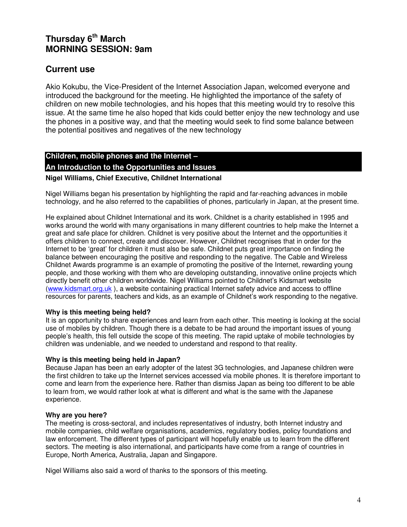# **Thursday 6 th March MORNING SESSION: 9am**

# **Current use**

Akio Kokubu, the Vice-President of the Internet Association Japan, welcomed everyone and introduced the background for the meeting. He highlighted the importance of the safety of children on new mobile technologies, and his hopes that this meeting would try to resolve this issue. At the same time he also hoped that kids could better enjoy the new technology and use the phones in a positive way, and that the meeting would seek to find some balance between the potential positives and negatives of the new technology

# **Children, mobile phones and the Internet – An Introduction to the Opportunities and Issues**

#### **Nigel Williams, Chief Executive, Childnet International**

Nigel Williams began his presentation by highlighting the rapid and far-reaching advances in mobile technology, and he also referred to the capabilities of phones, particularly in Japan, at the present time.

He explained about Childnet International and its work. Childnet is a charity established in 1995 and works around the world with many organisations in many different countries to help make the Internet a great and safe place for children. Childnet is very positive about the Internet and the opportunities it offers children to connect, create and discover. However, Childnet recognises that in order for the Internet to be 'great' for children it must also be safe. Childnet puts great importance on finding the balance between encouraging the positive and responding to the negative. The Cable and Wireless Childnet Awards programme is an example of promoting the positive of the Internet, rewarding young people, and those working with them who are developing outstanding, innovative online projects which directly benefit other children worldwide. Nigel Williams pointed to Childnet's Kidsmart website (www.kidsmart.org.uk ), a website containing practical Internet safety advice and access to offline resources for parents, teachers and kids, as an example of Childnet's work responding to the negative.

#### **Why is this meeting being held?**

It is an opportunity to share experiences and learn from each other. This meeting is looking at the social use of mobiles by children. Though there is a debate to be had around the important issues of young people's health, this fell outside the scope of this meeting. The rapid uptake of mobile technologies by children was undeniable, and we needed to understand and respond to that reality.

#### **Why is this meeting being held in Japan?**

Because Japan has been an early adopter of the latest 3G technologies, and Japanese children were the first children to take up the Internet services accessed via mobile phones. It is therefore important to come and learn from the experience here. Rather than dismiss Japan as being too different to be able to learn from, we would rather look at what is different and what is the same with the Japanese experience.

#### **Why are you here?**

The meeting is cross-sectoral, and includes representatives of industry, both Internet industry and mobile companies, child welfare organisations, academics, regulatory bodies, policy foundations and law enforcement. The different types of participant will hopefully enable us to learn from the different sectors. The meeting is also international, and participants have come from a range of countries in Europe, North America, Australia, Japan and Singapore.

Nigel Williams also said a word of thanks to the sponsors of this meeting.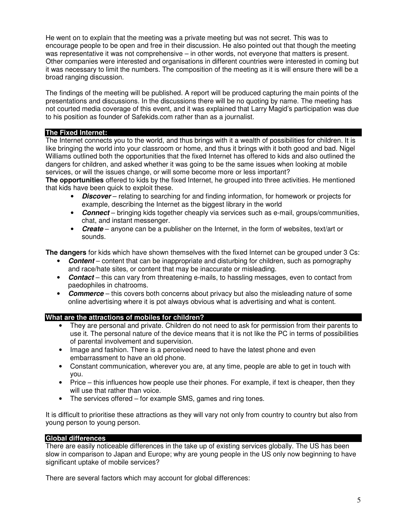He went on to explain that the meeting was a private meeting but was not secret. This was to encourage people to be open and free in their discussion. He also pointed out that though the meeting was representative it was not comprehensive – in other words, not everyone that matters is present. Other companies were interested and organisations in different countries were interested in coming but it was necessary to limit the numbers. The composition of the meeting as it is will ensure there will be a broad ranging discussion.

The findings of the meeting will be published. A report will be produced capturing the main points of the presentations and discussions. In the discussions there will be no quoting by name. The meeting has not courted media coverage of this event, and it was explained that Larry Magid's participation was due to his position as founder of Safekids.com rather than as a journalist.

#### **The Fixed Internet:**

The Internet connects you to the world, and thus brings with it a wealth of possibilities for children. It is like bringing the world into your classroom or home, and thus it brings with it both good and bad. Nigel Williams outlined both the opportunities that the fixed Internet has offered to kids and also outlined the dangers for children, and asked whether it was going to be the same issues when looking at mobile services, or will the issues change, or will some become more or less important?

**The opportunities** offered to kids by the fixed Internet, he grouped into three activities. He mentioned that kids have been quick to exploit these.

- *Discover* relating to searching for and finding information, for homework or projects for example, describing the Internet as the biggest library in the world
- *Connect* bringing kids together cheaply via services such as e-mail, groups/communities, chat, and instant messenger.
- *Create* anyone can be a publisher on the Internet, in the form of websites, text/art or sounds.

**The dangers** for kids which have shown themselves with the fixed Internet can be grouped under 3 Cs:

- *Content* content that can be inappropriate and disturbing for children, such as pornography and race/hate sites, or content that may be inaccurate or misleading.
- *Contact* this can vary from threatening e-mails, to hassling messages, even to contact from paedophiles in chatrooms.
- *Commerce* this covers both concerns about privacy but also the misleading nature of some online advertising where it is pot always obvious what is advertising and what is content.

#### **What are the attractions of mobiles for children?**

- They are personal and private. Children do not need to ask for permission from their parents to use it. The personal nature of the device means that it is not like the PC in terms of possibilities of parental involvement and supervision.
- Image and fashion. There is a perceived need to have the latest phone and even embarrassment to have an old phone.
- Constant communication, wherever you are, at any time, people are able to get in touch with you.
- Price this influences how people use their phones. For example, if text is cheaper, then they will use that rather than voice.
- The services offered for example SMS, games and ring tones.

It is difficult to prioritise these attractions as they will vary not only from country to country but also from young person to young person.

#### **Global differences**

There are easily noticeable differences in the take up of existing services globally. The US has been slow in comparison to Japan and Europe; why are young people in the US only now beginning to have significant uptake of mobile services?

There are several factors which may account for global differences: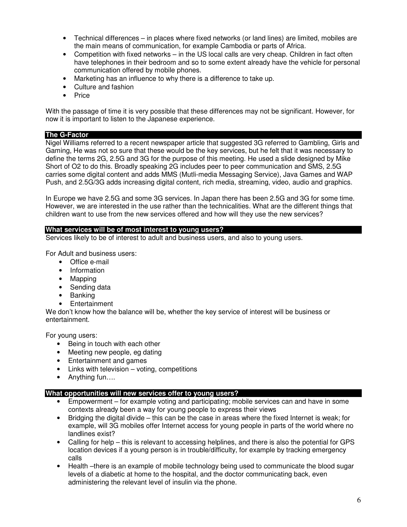- Technical differences in places where fixed networks (or land lines) are limited, mobiles are the main means of communication, for example Cambodia or parts of Africa.
- Competition with fixed networks in the US local calls are very cheap. Children in fact often have telephones in their bedroom and so to some extent already have the vehicle for personal communication offered by mobile phones.
- Marketing has an influence to why there is a difference to take up.
- Culture and fashion
- Price

With the passage of time it is very possible that these differences may not be significant. However, for now it is important to listen to the Japanese experience.

#### **The G-Factor**

Nigel Williams referred to a recent newspaper article that suggested 3G referred to Gambling, Girls and Gaming, He was not so sure that these would be the key services, but he felt that it was necessary to define the terms 2G, 2.5G and 3G for the purpose of this meeting. He used a slide designed by Mike Short of O2 to do this. Broadly speaking 2G includes peer to peer communication and SMS, 2.5G carries some digital content and adds MMS (Mutli-media Messaging Service), Java Games and WAP Push, and 2.5G/3G adds increasing digital content, rich media, streaming, video, audio and graphics.

In Europe we have 2.5G and some 3G services. In Japan there has been 2.5G and 3G for some time. However, we are interested in the use rather than the technicalities. What are the different things that children want to use from the new services offered and how will they use the new services?

#### **What services will be of most interest to young users?**

Services likely to be of interest to adult and business users, and also to young users.

For Adult and business users:

- Office e-mail
- Information
- Mapping
- Sending data
- Banking
- **Entertainment**

We don't know how the balance wilI be, whether the key service of interest will be business or entertainment.

For young users:

- Being in touch with each other
- Meeting new people, eg dating
- Entertainment and games
- Links with television  $-$  voting, competitions
- Anything fun….

#### **What opportunities will new services offer to young users?**

- Empowerment for example voting and participating; mobile services can and have in some contexts already been a way for young people to express their views
- Bridging the digital divide this can be the case in areas where the fixed Internet is weak; for example, will 3G mobiles offer Internet access for young people in parts of the world where no landlines exist?
- Calling for help this is relevant to accessing helplines, and there is also the potential for GPS location devices if a young person is in trouble/difficulty, for example by tracking emergency calls
- Health –there is an example of mobile technology being used to communicate the blood sugar levels of a diabetic at home to the hospital, and the doctor communicating back, even administering the relevant level of insulin via the phone.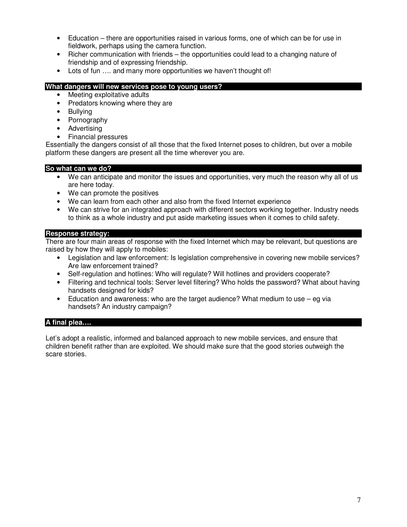- Education there are opportunities raised in various forms, one of which can be for use in fieldwork, perhaps using the camera function.
- Richer communication with friends the opportunities could lead to a changing nature of friendship and of expressing friendship.
- Lots of fun .... and many more opportunities we haven't thought of!

#### **What dangers will new services pose to young users?**

- Meeting exploitative adults
- Predators knowing where they are
- Bullying
- Pornography
- **Advertising**
- Financial pressures

Essentially the dangers consist of all those that the fixed Internet poses to children, but over a mobile platform these dangers are present all the time wherever you are.

#### **So what can we do?**

- We can anticipate and monitor the issues and opportunities, very much the reason why all of us are here today.
- We can promote the positives
- We can learn from each other and also from the fixed Internet experience
- We can strive for an integrated approach with different sectors working together. Industry needs to think as a whole industry and put aside marketing issues when it comes to child safety.

#### **Response strategy:**

There are four main areas of response with the fixed Internet which may be relevant, but questions are raised by how they will apply to mobiles:

- Legislation and law enforcement: Is legislation comprehensive in covering new mobile services? Are law enforcement trained?
- Self-regulation and hotlines: Who will regulate? Will hotlines and providers cooperate?
- Filtering and technical tools: Server level filtering? Who holds the password? What about having handsets designed for kids?
- Education and awareness: who are the target audience? What medium to use eg via handsets? An industry campaign?

#### **A final plea….**

Let's adopt a realistic, informed and balanced approach to new mobile services, and ensure that children benefit rather than are exploited. We should make sure that the good stories outweigh the scare stories.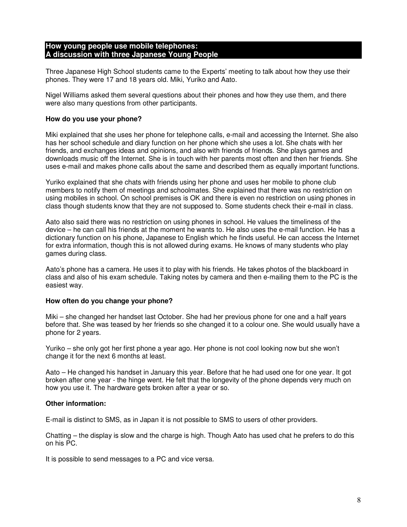#### **How young people use mobile telephones: A discussion with three Japanese Young People**

Three Japanese High School students came to the Experts' meeting to talk about how they use their phones. They were 17 and 18 years old. Miki, Yuriko and Aato.

Nigel Williams asked them several questions about their phones and how they use them, and there were also many questions from other participants.

#### **How do you use your phone?**

Miki explained that she uses her phone for telephone calls, e-mail and accessing the Internet. She also has her school schedule and diary function on her phone which she uses a lot. She chats with her friends, and exchanges ideas and opinions, and also with friends of friends. She plays games and downloads music off the Internet. She is in touch with her parents most often and then her friends. She uses e-mail and makes phone calls about the same and described them as equally important functions.

Yuriko explained that she chats with friends using her phone and uses her mobile to phone club members to notify them of meetings and schoolmates. She explained that there was no restriction on using mobiles in school. On school premises is OK and there is even no restriction on using phones in class though students know that they are not supposed to. Some students check their e-mail in class.

Aato also said there was no restriction on using phones in school. He values the timeliness of the device – he can call his friends at the moment he wants to. He also uses the e-mail function. He has a dictionary function on his phone, Japanese to English which he finds useful. He can access the Internet for extra information, though this is not allowed during exams. He knows of many students who play games during class.

Aato's phone has a camera. He uses it to play with his friends. He takes photos of the blackboard in class and also of his exam schedule. Taking notes by camera and then e-mailing them to the PC is the easiest way.

#### **How often do you change your phone?**

Miki – she changed her handset last October. She had her previous phone for one and a half years before that. She was teased by her friends so she changed it to a colour one. She would usually have a phone for 2 years.

Yuriko – she only got her first phone a year ago. Her phone is not cool looking now but she won't change it for the next 6 months at least.

Aato – He changed his handset in January this year. Before that he had used one for one year. It got broken after one year - the hinge went. He felt that the longevity of the phone depends very much on how you use it. The hardware gets broken after a year or so.

#### **Other information:**

E-mail is distinct to SMS, as in Japan it is not possible to SMS to users of other providers.

Chatting – the display is slow and the charge is high. Though Aato has used chat he prefers to do this on his PC.

It is possible to send messages to a PC and vice versa.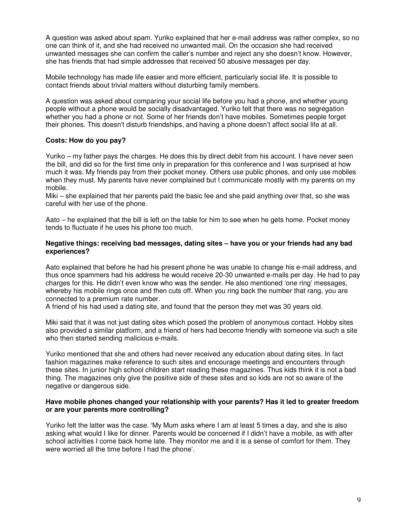A question was asked about spam. Yuriko explained that her e-mail address was rather complex, so no one can think of it, and she had received no unwanted mail. On the occasion she had received unwanted messages she can confirm the caller's number and reject any she doesn't know. However, she has friends that had simple addresses that received 50 abusive messages per day.

Mobile technology has made life easier and more efficient, particularly social life. It is possible to contact friends about trivial matters without disturbing family members.

A question was asked about comparing your social life before you had a phone, and whether young people without a phone would be socially disadvantaged. Yuriko felt that there was no segregation whether you had a phone or not. Some of her friends don't have mobiles. Sometimes people forget their phones. This doesn't disturb friendships, and having a phone doesn't affect social life at all.

#### **Costs: How do you pay?**

Yuriko – my father pays the charges. He does this by direct debit from his account. I have never seen the bill, and did so for the first time only in preparation for this conference and I was surprised at how much it was. My friends pay from their pocket money. Others use public phones, and only use mobiles when they must. My parents have never complained but I communicate mostly with my parents on my mobile.

Miki – she explained that her parents paid the basic fee and she paid anything over that, so she was careful with her use of the phone.

Aato – he explained that the bill is left on the table for him to see when he gets home. Pocket money tends to fluctuate if he uses his phone too much.

#### **Negative things: receiving bad messages, dating sites – have you or your friends had any bad experiences?**

Aato explained that before he had his present phone he was unable to change his e-mail address, and thus once spammers had his address he would receive 20-30 unwanted e-mails per day. He had to pay charges for this. He didn't even know who was the sender. He also mentioned 'one ring' messages, whereby his mobile rings once and then cuts off. When you ring back the number that rang, you are connected to a premium rate number.

A friend of his had used a dating site, and found that the person they met was 30 years old.

Miki said that it was not just dating sites which posed the problem of anonymous contact. Hobby sites also provided a similar platform, and a friend of hers had become friendly with someone via such a site who then started sending malicious e-mails.

Yuriko mentioned that she and others had never received any education about dating sites. In fact fashion magazines make reference to such sites and encourage meetings and encounters through these sites. In junior high school children start reading these magazines. Thus kids think it is not a bad thing. The magazines only give the positive side of these sites and so kids are not so aware of the negative or dangerous side.

#### **Have mobile phones changed your relationship with your parents? Has it led to greater freedom or are your parents more controlling?**

Yuriko felt the latter was the case. 'My Mum asks where I am at least 5 times a day, and she is also asking what would I like for dinner. Parents would be concerned if I didn't have a mobile, as with after school activities I come back home late. They monitor me and it is a sense of comfort for them. They were worried all the time before I had the phone'.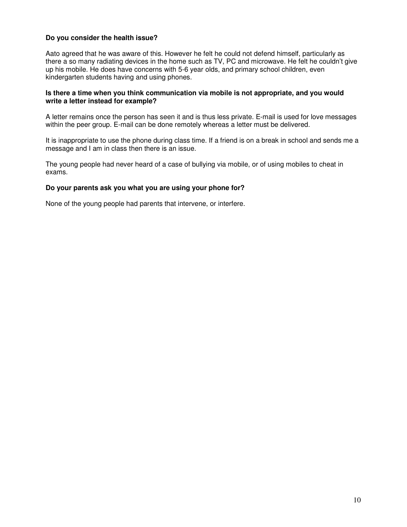#### **Do you consider the health issue?**

Aato agreed that he was aware of this. However he felt he could not defend himself, particularly as there a so many radiating devices in the home such as TV, PC and microwave. He felt he couldn't give up his mobile. He does have concerns with 5-6 year olds, and primary school children, even kindergarten students having and using phones.

#### **Is there a time when you think communication via mobile is not appropriate, and you would write a letter instead for example?**

A letter remains once the person has seen it and is thus less private. E-mail is used for love messages within the peer group. E-mail can be done remotely whereas a letter must be delivered.

It is inappropriate to use the phone during class time. If a friend is on a break in school and sends me a message and I am in class then there is an issue.

The young people had never heard of a case of bullying via mobile, or of using mobiles to cheat in exams.

#### **Do your parents ask you what you are using your phone for?**

None of the young people had parents that intervene, or interfere.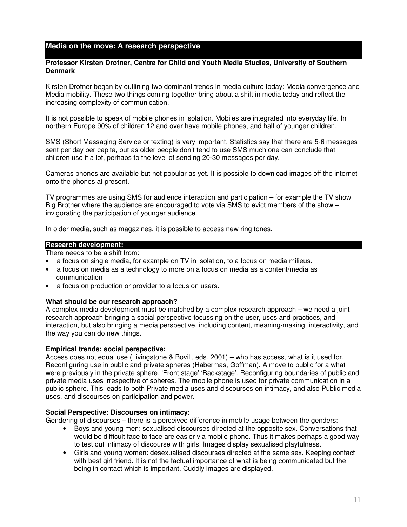#### **Media on the move: A research perspective**

#### **Professor Kirsten Drotner, Centre for Child and Youth Media Studies, University of Southern Denmark**

Kirsten Drotner began by outlining two dominant trends in media culture today: Media convergence and Media mobility. These two things coming together bring about a shift in media today and reflect the increasing complexity of communication.

It is not possible to speak of mobile phones in isolation. Mobiles are integrated into everyday life. In northern Europe 90% of children 12 and over have mobile phones, and half of younger children.

SMS (Short Messaging Service or texting) is very important. Statistics say that there are 5-6 messages sent per day per capita, but as older people don't tend to use SMS much one can conclude that children use it a lot, perhaps to the level of sending 20-30 messages per day.

Cameras phones are available but not popular as yet. It is possible to download images off the internet onto the phones at present.

TV programmes are using SMS for audience interaction and participation – for example the TV show Big Brother where the audience are encouraged to vote via SMS to evict members of the show – invigorating the participation of younger audience.

In older media, such as magazines, it is possible to access new ring tones.

#### **Research development:**

There needs to be a shift from:

- a focus on single media, for example on TV in isolation, to a focus on media milieus.
- a focus on media as a technology to more on a focus on media as a content/media as communication
- a focus on production or provider to a focus on users.

#### **What should be our research approach?**

A complex media development must be matched by a complex research approach – we need a joint research approach bringing a social perspective focussing on the user, uses and practices, and interaction, but also bringing a media perspective, including content, meaning-making, interactivity, and the way you can do new things.

#### **Empirical trends: social perspective:**

Access does not equal use (Livingstone & Bovill, eds. 2001) – who has access, what is it used for. Reconfiguring use in public and private spheres (Habermas, Goffman). A move to public for a what were previously in the private sphere. 'Front stage' 'Backstage'. Reconfiguring boundaries of public and private media uses irrespective of spheres. The mobile phone is used for private communication in a public sphere. This leads to both Private media uses and discourses on intimacy, and also Public media uses, and discourses on participation and power.

#### **Social Perspective: Discourses on intimacy:**

Gendering of discourses – there is a perceived difference in mobile usage between the genders:

- Boys and young men: sexualised discourses directed at the opposite sex. Conversations that would be difficult face to face are easier via mobile phone. Thus it makes perhaps a good way to test out intimacy of discourse with girls. Images display sexualised playfulness.
- Girls and young women: desexualised discourses directed at the same sex. Keeping contact with best girl friend. It is not the factual importance of what is being communicated but the being in contact which is important. Cuddly images are displayed.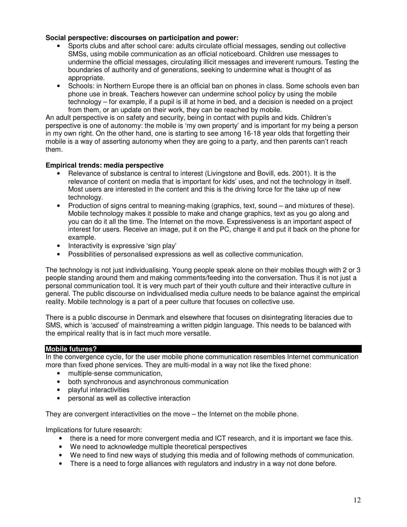#### **Social perspective: discourses on participation and power:**

- Sports clubs and after school care: adults circulate official messages, sending out collective SMSs, using mobile communication as an official noticeboard. Children use messages to undermine the official messages, circulating illicit messages and irreverent rumours. Testing the boundaries of authority and of generations, seeking to undermine what is thought of as appropriate.
- Schools: in Northern Europe there is an official ban on phones in class. Some schools even ban phone use in break. Teachers however can undermine school policy by using the mobile technology – for example, if a pupil is ill at home in bed, and a decision is needed on a project from them, or an update on their work, they can be reached by mobile.

An adult perspective is on safety and security, being in contact with pupils and kids. Children's perspective is one of autonomy: the mobile is 'my own property' and is important for my being a person in my own right. On the other hand, one is starting to see among 16-18 year olds that forgetting their mobile is a way of asserting autonomy when they are going to a party, and then parents can't reach them.

#### **Empirical trends: media perspective**

- Relevance of substance is central to interest (Livingstone and Bovill, eds. 2001). It is the relevance of content on media that is important for kids' uses, and not the technology in itself. Most users are interested in the content and this is the driving force for the take up of new technology.
- Production of signs central to meaning-making (graphics, text, sound and mixtures of these). Mobile technology makes it possible to make and change graphics, text as you go along and you can do it all the time. The Internet on the move. Expressiveness is an important aspect of interest for users. Receive an image, put it on the PC, change it and put it back on the phone for example.
- Interactivity is expressive 'sign play'
- Possibilities of personalised expressions as well as collective communication.

The technology is not just individualising. Young people speak alone on their mobiles though with 2 or 3 people standing around them and making comments/feeding into the conversation. Thus it is not just a personal communication tool. It is very much part of their youth culture and their interactive culture in general. The public discourse on individualised media culture needs to be balance against the empirical reality. Mobile technology is a part of a peer culture that focuses on collective use.

There is a public discourse in Denmark and elsewhere that focuses on disintegrating literacies due to SMS, which is 'accused' of mainstreaming a written pidgin language. This needs to be balanced with the empirical reality that is in fact much more versatile.

#### **Mobile futures?**

In the convergence cycle, for the user mobile phone communication resembles Internet communication more than fixed phone services. They are multi-modal in a way not like the fixed phone:

- multiple-sense communication,
- both synchronous and asynchronous communication
- playful interactivities
- personal as well as collective interaction

They are convergent interactivities on the move – the Internet on the mobile phone.

Implications for future research:

- there is a need for more convergent media and ICT research, and it is important we face this.
- We need to acknowledge multiple theoretical perspectives
- We need to find new ways of studying this media and of following methods of communication.
- There is a need to forge alliances with regulators and industry in a way not done before.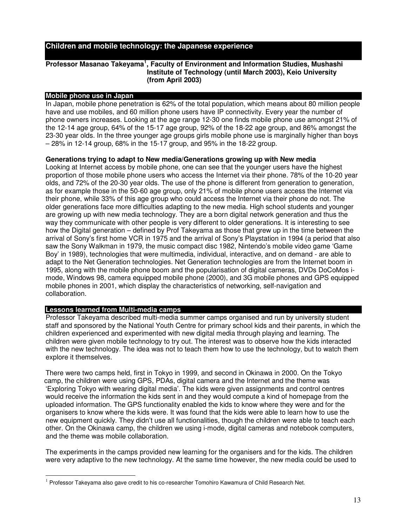#### **Children and mobile technology: the Japanese experience**

#### **Professor Masanao Takeyama 1 , Faculty of Environment and Information Studies, Mushashi Institute of Technology (until March 2003), Keio University (from April 2003)**

#### **Mobile phone use in Japan**

In Japan, mobile phone penetration is 62% of the total population, which means about 80 million people have and use mobiles, and 60 million phone users have IP connectivity. Every year the number of phone owners increases. Looking at the age range 12-30 one finds mobile phone use amongst 21% of the 12-14 age group, 64% of the 15-17 age group, 92% of the 18-22 age group, and 86% amongst the 23-30 year olds. In the three younger age groups girls mobile phone use is marginally higher than boys – 28% in 12-14 group, 68% in the 15-17 group, and 95% in the 18-22 group.

#### **Generations trying to adapt to New media/Generations growing up with New media**

Looking at Internet access by mobile phone, one can see that the younger users have the highest proportion of those mobile phone users who access the Internet via their phone. 78% of the 10-20 year olds, and 72% of the 20-30 year olds. The use of the phone is different from generation to generation, as for example those in the 50-60 age group, only 21% of mobile phone users access the Internet via their phone, while 33% of this age group who could access the Internet via their phone do not. The older generations face more difficulties adapting to the new media. High school students and younger are growing up with new media technology. They are a born digital network generation and thus the way they communicate with other people is very different to older generations. It is interesting to see how the Digital generation – defined by Prof Takeyama as those that grew up in the time between the arrival of Sony's first home VCR in 1975 and the arrival of Sony's Playstation in 1994 (a period that also saw the Sony Walkman in 1979, the music compact disc 1982, Nintendo's mobile video game 'Game Boy' in 1989), technologies that were multimedia, individual, interactive, and on demand - are able to adapt to the Net Generation technologies. Net Generation technologies are from the Internet boom in 1995, along with the mobile phone boom and the popularisation of digital cameras, DVDs DoCoMos imode, Windows 98, camera equipped mobile phone (2000), and 3G mobile phones and GPS equipped mobile phones in 2001, which display the characteristics of networking, self-navigation and collaboration.

#### **Lessons learned from Multi-media camps**

Professor Takeyama described multi-media summer camps organised and run by university student staff and sponsored by the National Youth Centre for primary school kids and their parents, in which the children experienced and experimented with new digital media through playing and learning. The children were given mobile technology to try out. The interest was to observe how the kids interacted with the new technology. The idea was not to teach them how to use the technology, but to watch them explore it themselves.

There were two camps held, first in Tokyo in 1999, and second in Okinawa in 2000. On the Tokyo camp, the children were using GPS, PDAs, digital camera and the Internet and the theme was 'Exploring Tokyo with wearing digital media'. The kids were given assignments and control centres would receive the information the kids sent in and they would compute a kind of homepage from the uploaded information. The GPS functionality enabled the kids to know where they were and for the organisers to know where the kids were. It was found that the kids were able to learn how to use the new equipment quickly. They didn't use all functionalities, though the children were able to teach each other. On the Okinawa camp, the children we using i-mode, digital cameras and notebook computers, and the theme was mobile collaboration.

The experiments in the camps provided new learning for the organisers and for the kids. The children were very adaptive to the new technology. At the same time however, the new media could be used to

 $^1$  Professor Takeyama also gave credit to his co-researcher Tomohiro Kawamura of Child Research Net.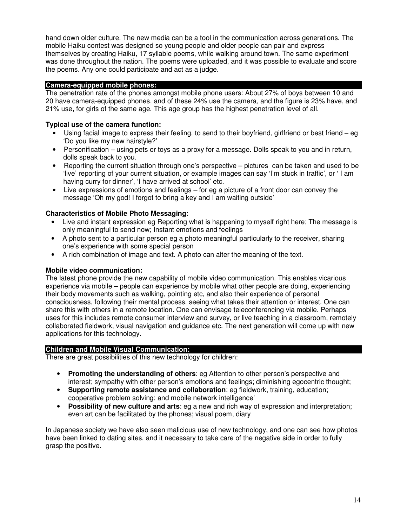hand down older culture. The new media can be a tool in the communication across generations. The mobile Haiku contest was designed so young people and older people can pair and express themselves by creating Haiku, 17 syllable poems, while walking around town. The same experiment was done throughout the nation. The poems were uploaded, and it was possible to evaluate and score the poems. Any one could participate and act as a judge.

#### **Camera-equipped mobile phones:**

The penetration rate of the phones amongst mobile phone users: About 27% of boys between 10 and 20 have camera-equipped phones, and of these 24% use the camera, and the figure is 23% have, and 21% use, for girls of the same age. This age group has the highest penetration level of all.

#### **Typical use of the camera function:**

- Using facial image to express their feeling, to send to their boyfriend, girlfriend or best friend eg 'Do you like my new hairstyle?'
- Personification using pets or toys as a proxy for a message. Dolls speak to you and in return, dolls speak back to you.
- Reporting the current situation through one's perspective pictures can be taken and used to be 'live' reporting of your current situation, or example images can say 'I'm stuck in traffic', or 'I am having curry for dinner', 'I have arrived at school' etc.
- Live expressions of emotions and feelings for eg a picture of a front door can convey the message 'Oh my god! I forgot to bring a key and I am waiting outside'

#### **Characteristics of Mobile Photo Messaging:**

- Live and instant expression eg Reporting what is happening to myself right here; The message is only meaningful to send now; Instant emotions and feelings
- A photo sent to a particular person eg a photo meaningful particularly to the receiver, sharing one's experience with some special person
- A rich combination of image and text. A photo can alter the meaning of the text.

#### **Mobile video communication:**

The latest phone provide the new capability of mobile video communication. This enables vicarious experience via mobile – people can experience by mobile what other people are doing, experiencing their body movements such as walking, pointing etc, and also their experience of personal consciousness, following their mental process, seeing what takes their attention or interest. One can share this with others in a remote location. One can envisage teleconferencing via mobile. Perhaps uses for this includes remote consumer interview and survey, or live teaching in a classroom, remotely collaborated fieldwork, visual navigation and guidance etc. The next generation will come up with new applications for this technology.

#### **Children and Mobile Visual Communication:**

There are great possibilities of this new technology for children:

- **Promoting the understanding of others**: eg Attention to other person's perspective and interest; sympathy with other person's emotions and feelings; diminishing egocentric thought;
- **Supporting remote assistance and collaboration**: eg fieldwork, training, education; cooperative problem solving; and mobile network intelligence'
- **Possibility of new culture and arts**: eg a new and rich way of expression and interpretation; even art can be facilitated by the phones; visual poem, diary

In Japanese society we have also seen malicious use of new technology, and one can see how photos have been linked to dating sites, and it necessary to take care of the negative side in order to fully grasp the positive.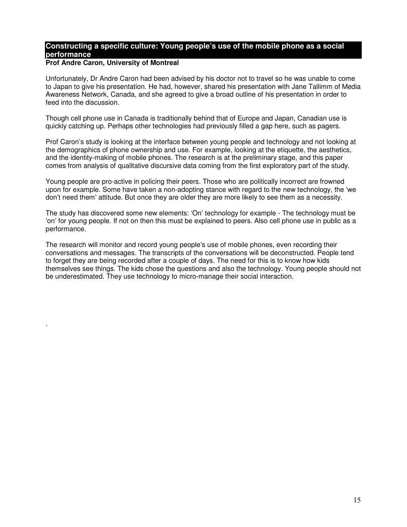### **Constructing a specific culture: Young people's use of the mobile phone as a social performance**

#### **Prof Andre Caron, University of Montreal**

.

Unfortunately, Dr Andre Caron had been advised by his doctor not to travel so he was unable to come to Japan to give his presentation. He had, however, shared his presentation with Jane Tallimm of Media Awareness Network, Canada, and she agreed to give a broad outline of his presentation in order to feed into the discussion.

Though cell phone use in Canada is traditionally behind that of Europe and Japan, Canadian use is quickly catching up. Perhaps other technologies had previously filled a gap here, such as pagers.

Prof Caron's study is looking at the interface between young people and technology and not looking at the demographics of phone ownership and use. For example, looking at the etiquette, the aesthetics, and the identity-making of mobile phones. The research is at the preliminary stage, and this paper comes from analysis of qualitative discursive data coming from the first exploratory part of the study.

Young people are pro-active in policing their peers. Those who are politically incorrect are frowned upon for example. Some have taken a non-adopting stance with regard to the new technology, the 'we don't need them' attitude. But once they are older they are more likely to see them as a necessity.

The study has discovered some new elements: 'On' technology for example - The technology must be 'on' for young people. If not on then this must be explained to peers. Also cell phone use in public as a performance.

The research will monitor and record young people's use of mobile phones, even recording their conversations and messages. The transcripts of the conversations will be deconstructed. People tend to forget they are being recorded after a couple of days. The need for this is to know how kids themselves see things. The kids chose the questions and also the technology. Young people should not be underestimated. They use technology to micro-manage their social interaction.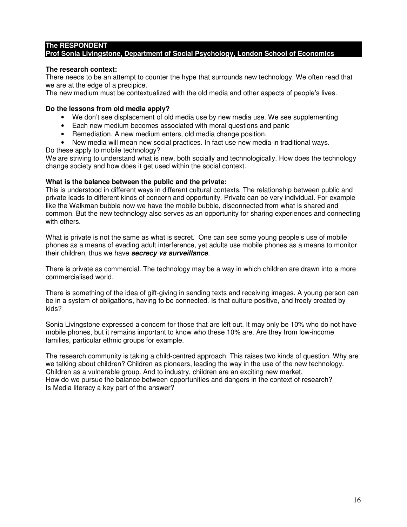#### **The RESPONDENT Prof Sonia Livingstone, Department of Social Psychology, London School of Economics**

#### **The research context:**

There needs to be an attempt to counter the hype that surrounds new technology. We often read that we are at the edge of a precipice.

The new medium must be contextualized with the old media and other aspects of people's lives.

#### **Do the lessons from old media apply?**

- We don't see displacement of old media use by new media use. We see supplementing
- Each new medium becomes associated with moral questions and panic
- Remediation. A new medium enters, old media change position.
- New media will mean new social practices. In fact use new media in traditional ways.
- Do these apply to mobile technology?

We are striving to understand what is new, both socially and technologically. How does the technology change society and how does it get used within the social context.

#### **What is the balance between the public and the private:**

This is understood in different ways in different cultural contexts. The relationship between public and private leads to different kinds of concern and opportunity. Private can be very individual. For example like the Walkman bubble now we have the mobile bubble, disconnected from what is shared and common. But the new technology also serves as an opportunity for sharing experiences and connecting with others.

What is private is not the same as what is secret. One can see some young people's use of mobile phones as a means of evading adult interference, yet adults use mobile phones as a means to monitor their children, thus we have *secrecy vs surveillance*.

There is private as commercial. The technology may be a way in which children are drawn into a more commercialised world.

There is something of the idea of gift-giving in sending texts and receiving images. A young person can be in a system of obligations, having to be connected. Is that culture positive, and freely created by kids?

Sonia Livingstone expressed a concern for those that are left out. It may only be 10% who do not have mobile phones, but it remains important to know who these 10% are. Are they from low-income families, particular ethnic groups for example.

The research community is taking a child-centred approach. This raises two kinds of question. Why are we talking about children? Children as pioneers, leading the way in the use of the new technology. Children as a vulnerable group. And to industry, children are an exciting new market. How do we pursue the balance between opportunities and dangers in the context of research? Is Media literacy a key part of the answer?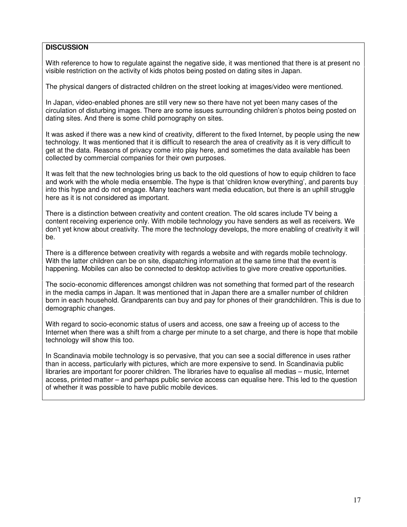#### **DISCUSSION**

With reference to how to regulate against the negative side, it was mentioned that there is at present no visible restriction on the activity of kids photos being posted on dating sites in Japan.

The physical dangers of distracted children on the street looking at images/video were mentioned.

In Japan, video-enabled phones are still very new so there have not yet been many cases of the circulation of disturbing images. There are some issues surrounding children's photos being posted on dating sites. And there is some child pornography on sites.

It was asked if there was a new kind of creativity, different to the fixed Internet, by people using the new technology. It was mentioned that it is difficult to research the area of creativity as it is very difficult to get at the data. Reasons of privacy come into play here, and sometimes the data available has been collected by commercial companies for their own purposes.

It was felt that the new technologies bring us back to the old questions of how to equip children to face and work with the whole media ensemble. The hype is that 'children know everything', and parents buy into this hype and do not engage. Many teachers want media education, but there is an uphill struggle here as it is not considered as important.

There is a distinction between creativity and content creation. The old scares include TV being a content receiving experience only. With mobile technology you have senders as well as receivers. We don't yet know about creativity. The more the technology develops, the more enabling of creativity it will be.

There is a difference between creativity with regards a website and with regards mobile technology. With the latter children can be on site, dispatching information at the same time that the event is happening. Mobiles can also be connected to desktop activities to give more creative opportunities.

The socio-economic differences amongst children was not something that formed part of the research in the media camps in Japan. It was mentioned that in Japan there are a smaller number of children born in each household. Grandparents can buy and pay for phones of their grandchildren. This is due to demographic changes.

With regard to socio-economic status of users and access, one saw a freeing up of access to the Internet when there was a shift from a charge per minute to a set charge, and there is hope that mobile technology will show this too.

In Scandinavia mobile technology is so pervasive, that you can see a social difference in uses rather than in access, particularly with pictures, which are more expensive to send. In Scandinavia public libraries are important for poorer children. The libraries have to equalise all medias – music, Internet access, printed matter – and perhaps public service access can equalise here. This led to the question of whether it was possible to have public mobile devices.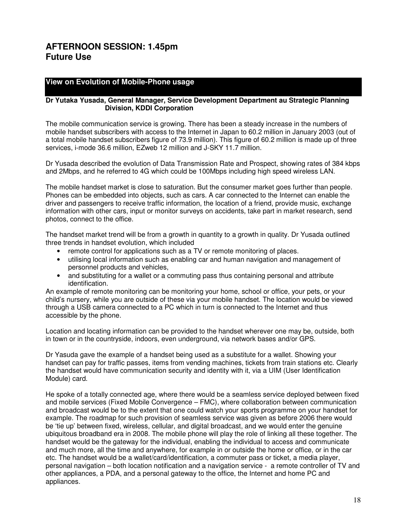## **AFTERNOON SESSION: 1.45pm Future Use**

#### **View on Evolution of Mobile-Phone usage**

#### **Dr Yutaka Yusada, General Manager, Service Development Department au Strategic Planning Division, KDDI Corporation**

The mobile communication service is growing. There has been a steady increase in the numbers of mobile handset subscribers with access to the Internet in Japan to 60.2 million in January 2003 (out of a total mobile handset subscribers figure of 73.9 million). This figure of 60.2 million is made up of three services, i-mode 36.6 million, EZweb 12 million and J-SKY 11.7 million.

Dr Yusada described the evolution of Data Transmission Rate and Prospect, showing rates of 384 kbps and 2Mbps, and he referred to 4G which could be 100Mbps including high speed wireless LAN.

The mobile handset market is close to saturation. But the consumer market goes further than people. Phones can be embedded into objects, such as cars. A car connected to the Internet can enable the driver and passengers to receive traffic information, the location of a friend, provide music, exchange information with other cars, input or monitor surveys on accidents, take part in market research, send photos, connect to the office.

The handset market trend will be from a growth in quantity to a growth in quality. Dr Yusada outlined three trends in handset evolution, which included

- remote control for applications such as a TV or remote monitoring of places.
- utilising local information such as enabling car and human navigation and management of personnel products and vehicles,
- and substituting for a wallet or a commuting pass thus containing personal and attribute identification.

An example of remote monitoring can be monitoring your home, school or office, your pets, or your child's nursery, while you are outside of these via your mobile handset. The location would be viewed through a USB camera connected to a PC which in turn is connected to the Internet and thus accessible by the phone.

Location and locating information can be provided to the handset wherever one may be, outside, both in town or in the countryside, indoors, even underground, via network bases and/or GPS.

Dr Yasuda gave the example of a handset being used as a substitute for a wallet. Showing your handset can pay for traffic passes, items from vending machines, tickets from train stations etc. Clearly the handset would have communication security and identity with it, via a UIM (User Identification Module) card.

He spoke of a totally connected age, where there would be a seamless service deployed between fixed and mobile services (Fixed Mobile Convergence – FMC), where collaboration between communication and broadcast would be to the extent that one could watch your sports programme on your handset for example. The roadmap for such provision of seamless service was given as before 2006 there would be 'tie up' between fixed, wireless, cellular, and digital broadcast, and we would enter the genuine ubiquitous broadband era in 2008. The mobile phone will play the role of linking all these together. The handset would be the gateway for the individual, enabling the individual to access and communicate and much more, all the time and anywhere, for example in or outside the home or office, or in the car etc. The handset would be a wallet/card/identification, a commuter pass or ticket, a media player, personal navigation – both location notification and a navigation service - a remote controller of TV and other appliances, a PDA, and a personal gateway to the office, the Internet and home PC and appliances.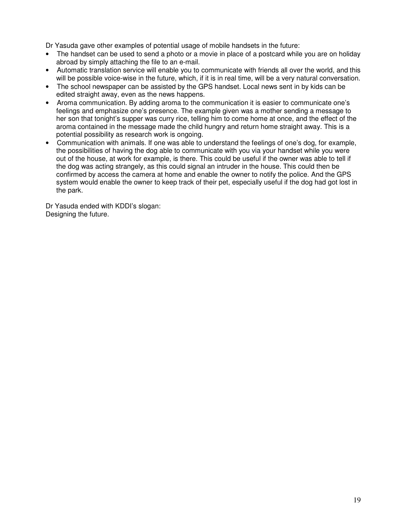Dr Yasuda gave other examples of potential usage of mobile handsets in the future:

- The handset can be used to send a photo or a movie in place of a postcard while you are on holiday abroad by simply attaching the file to an e-mail.
- Automatic translation service will enable you to communicate with friends all over the world, and this will be possible voice-wise in the future, which, if it is in real time, will be a very natural conversation.
- The school newspaper can be assisted by the GPS handset. Local news sent in by kids can be edited straight away, even as the news happens.
- Aroma communication. By adding aroma to the communication it is easier to communicate one's feelings and emphasize one's presence. The example given was a mother sending a message to her son that tonight's supper was curry rice, telling him to come home at once, and the effect of the aroma contained in the message made the child hungry and return home straight away. This is a potential possibility as research work is ongoing.
- Communication with animals. If one was able to understand the feelings of one's dog, for example, the possibilities of having the dog able to communicate with you via your handset while you were out of the house, at work for example, is there. This could be useful if the owner was able to tell if the dog was acting strangely, as this could signal an intruder in the house. This could then be confirmed by access the camera at home and enable the owner to notify the police. And the GPS system would enable the owner to keep track of their pet, especially useful if the dog had got lost in the park.

Dr Yasuda ended with KDDI's slogan: Designing the future.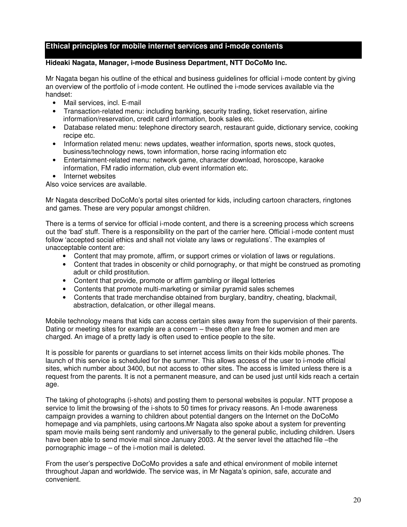#### **Ethical principles for mobile internet services and i-mode contents**

#### **Hideaki Nagata, Manager, i-mode Business Department, NTT DoCoMo Inc.**

Mr Nagata began his outline of the ethical and business guidelines for official i-mode content by giving an overview of the portfolio of i-mode content. He outlined the i-mode services available via the handset:

- Mail services, incl. E-mail
- Transaction-related menu: including banking, security trading, ticket reservation, airline information/reservation, credit card information, book sales etc.
- Database related menu: telephone directory search, restaurant quide, dictionary service, cooking recipe etc.
- Information related menu: news updates, weather information, sports news, stock quotes, business/technology news, town information, horse racing information etc
- Entertainment-related menu: network game, character download, horoscope, karaoke information, FM radio information, club event information etc.
- Internet websites

Also voice services are available.

Mr Nagata described DoCoMo's portal sites oriented for kids, including cartoon characters, ringtones and games. These are very popular amongst children.

There is a terms of service for official i-mode content, and there is a screening process which screens out the 'bad' stuff. There is a responsibility on the part of the carrier here. Official i-mode content must follow 'accepted social ethics and shall not violate any laws or regulations'. The examples of unacceptable content are:

- Content that may promote, affirm, or support crimes or violation of laws or regulations.
- Content that trades in obscenity or child pornography, or that might be construed as promoting adult or child prostitution.
- Content that provide, promote or affirm gambling or illegal lotteries
- Contents that promote multi-marketing or similar pyramid sales schemes
- Contents that trade merchandise obtained from burglary, banditry, cheating, blackmail, abstraction, defalcation, or other illegal means.

Mobile technology means that kids can access certain sites away from the supervision of their parents. Dating or meeting sites for example are a concern – these often are free for women and men are charged. An image of a pretty lady is often used to entice people to the site.

It is possible for parents or guardians to set internet access limits on their kids mobile phones. The launch of this service is scheduled for the summer. This allows access of the user to i-mode official sites, which number about 3400, but not access to other sites. The access is limited unless there is a request from the parents. It is not a permanent measure, and can be used just until kids reach a certain age.

The taking of photographs (i-shots) and posting them to personal websites is popular. NTT propose a service to limit the browsing of the i-shots to 50 times for privacy reasons. An I-mode awareness campaign provides a warning to children about potential dangers on the Internet on the DoCoMo homepage and via pamphlets, using cartoons.Mr Nagata also spoke about a system for preventing spam movie mails being sent randomly and universally to the general public, including children. Users have been able to send movie mail since January 2003. At the server level the attached file –the pornographic image – of the i-motion mail is deleted.

From the user's perspective DoCoMo provides a safe and ethical environment of mobile internet throughout Japan and worldwide. The service was, in Mr Nagata's opinion, safe, accurate and convenient.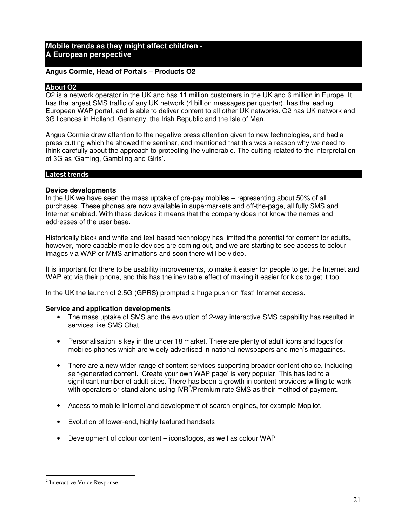#### **Mobile trends as they might affect children - A European perspective**

#### **Angus Cormie, Head of Portals – Products O2**

#### **About O2**

O2 is a network operator in the UK and has 11 million customers in the UK and 6 million in Europe. It has the largest SMS traffic of any UK network (4 billion messages per quarter), has the leading European WAP portal, and is able to deliver content to all other UK networks. O2 has UK network and 3G licences in Holland, Germany, the Irish Republic and the Isle of Man.

Angus Cormie drew attention to the negative press attention given to new technologies, and had a press cutting which he showed the seminar, and mentioned that this was a reason why we need to think carefully about the approach to protecting the vulnerable. The cutting related to the interpretation of 3G as 'Gaming, Gambling and Girls'.

#### **Latest trends**

#### **Device developments**

In the UK we have seen the mass uptake of pre-pay mobiles – representing about 50% of all purchases. These phones are now available in supermarkets and off-the-page, all fully SMS and Internet enabled. With these devices it means that the company does not know the names and addresses of the user base.

Historically black and white and text based technology has limited the potential for content for adults, however, more capable mobile devices are coming out, and we are starting to see access to colour images via WAP or MMS animations and soon there will be video.

It is important for there to be usability improvements, to make it easier for people to get the Internet and WAP etc via their phone, and this has the inevitable effect of making it easier for kids to get it too.

In the UK the launch of 2.5G (GPRS) prompted a huge push on 'fast' Internet access.

#### **Service and application developments**

- The mass uptake of SMS and the evolution of 2-way interactive SMS capability has resulted in services like SMS Chat.
- Personalisation is key in the under 18 market. There are plenty of adult icons and logos for mobiles phones which are widely advertised in national newspapers and men's magazines.
- There are a new wider range of content services supporting broader content choice, including self-generated content. 'Create your own WAP page' is very popular. This has led to a significant number of adult sites. There has been a growth in content providers willing to work with operators or stand alone using  $IVR^2/Premium$  rate SMS as their method of payment.
- Access to mobile Internet and development of search engines, for example Mopilot.
- Evolution of lower-end, highly featured handsets
- Development of colour content icons/logos, as well as colour WAP

<sup>&</sup>lt;sup>2</sup> Interactive Voice Response.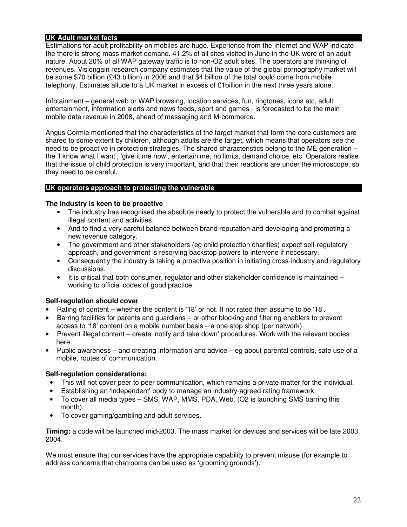#### **UK Adult market facts**

Estimations for adult profitability on mobiles are huge. Experience from the Internet and WAP indicate the there is strong mass market demand. 41.2% of all sites visited in June in the UK were of an adult nature. About 20% of all WAP gateway traffic is to non-O2 adult sites. The operators are thinking of revenues. Visiongain research company estimates that the value of the global pornography market will be some \$70 billion (£43 billion) in 2006 and that \$4 billion of the total could come from mobile telephony. Estimates allude to a UK market in excess of £1billion in the next three years alone.

Infotainment – general web or WAP browsing, location services, fun, ringtones, icons etc, adult entertainment, information alerts and news feeds, sport and games - is forecasted to be the main mobile data revenue in 2008, ahead of messaging and M-commerce.

Angus Cormie mentioned that the characteristics of the target market that form the core customers are shared to some extent by children, although adults are the target, which means that operators see the need to be proactive in protection strategies. The shared characteristics belong to the ME generation – the 'I know what I want', 'give it me now', entertain me, no limits, demand choice, etc. Operators realise that the issue of child protection is very important, and that their reactions are under the microscope, so they need to be careful.

#### **UK operators approach to protecting the vulnerable**

#### **The industry is keen to be proactive**

- The industry has recognised the absolute needy to protect the vulnerable and to combat against illegal content and activities.
- And to find a very careful balance between brand reputation and developing and promoting a new revenue category.
- The government and other stakeholders (eg child protection charities) expect self-regulatory approach, and government is reserving backstop powers to intervene if necessary.
- Consequently the industry is taking a proactive position in initiating cross-industry and regulatory discussions.
- It is critical that both consumer, regulator and other stakeholder confidence is maintained working to official codes of good practice.

#### **Self-regulation should cover**

- Rating of content whether the content is '18' or not. If not rated then assume to be '18'.
- Barring facilities for parents and guardians or other blocking and filtering enablers to prevent access to '18' content on a mobile number basis – a one stop shop (per network)
- Prevent illegal content create 'notify and take down' procedures. Work with the relevant bodies here.
- Public awareness and creating information and advice eg about parental controls, safe use of a mobile, routes of communication.

#### **Self-regulation considerations:**

- This will not cover peer to peer communication, which remains a private matter for the individual.
- Establishing an 'independent' body to manage an industry-agreed rating framework
- To cover all media types SMS, WAP, MMS, PDA, Web. (O2 is launching SMS barring this month).
- To cover gaming/gambling and adult services.

**Timing:** a code will be launched mid-2003. The mass market for devices and services will be late 2003 2004.

We must ensure that our services have the appropriate capability to prevent misuse (for example to address concerns that chatrooms can be used as 'grooming grounds').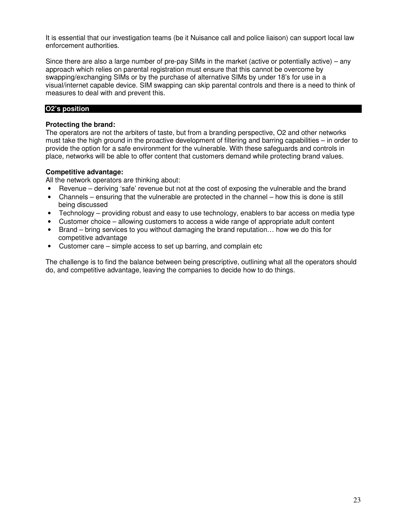It is essential that our investigation teams (be it Nuisance call and police liaison) can support local law enforcement authorities.

Since there are also a large number of pre-pay SIMs in the market (active or potentially active) – any approach which relies on parental registration must ensure that this cannot be overcome by swapping/exchanging SIMs or by the purchase of alternative SIMs by under 18's for use in a visual/internet capable device. SIM swapping can skip parental controls and there is a need to think of measures to deal with and prevent this.

#### **O2's position**

#### **Protecting the brand:**

The operators are not the arbiters of taste, but from a branding perspective, O2 and other networks must take the high ground in the proactive development of filtering and barring capabilities – in order to provide the option for a safe environment for the vulnerable. With these safeguards and controls in place, networks will be able to offer content that customers demand while protecting brand values.

#### **Competitive advantage:**

All the network operators are thinking about:

- Revenue deriving 'safe' revenue but not at the cost of exposing the vulnerable and the brand
- Channels ensuring that the vulnerable are protected in the channel how this is done is still being discussed
- Technology providing robust and easy to use technology, enablers to bar access on media type
- Customer choice allowing customers to access a wide range of appropriate adult content
- Brand bring services to you without damaging the brand reputation… how we do this for competitive advantage
- Customer care simple access to set up barring, and complain etc

The challenge is to find the balance between being prescriptive, outlining what all the operators should do, and competitive advantage, leaving the companies to decide how to do things.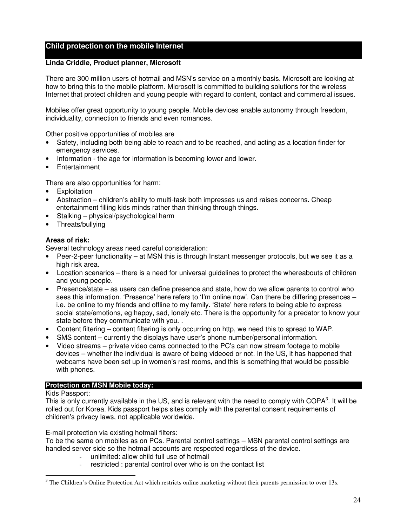### **Child protection on the mobile Internet**

#### **Linda Criddle, Product planner, Microsoft**

There are 300 million users of hotmail and MSN's service on a monthly basis. Microsoft are looking at how to bring this to the mobile platform. Microsoft is committed to building solutions for the wireless Internet that protect children and young people with regard to content, contact and commercial issues.

Mobiles offer great opportunity to young people. Mobile devices enable autonomy through freedom, individuality, connection to friends and even romances.

Other positive opportunities of mobiles are

- Safety, including both being able to reach and to be reached, and acting as a location finder for emergency services.
- Information the age for information is becoming lower and lower.
- **Entertainment**

There are also opportunities for harm:

- **Exploitation**
- Abstraction children's ability to multi-task both impresses us and raises concerns. Cheap entertainment filling kids minds rather than thinking through things.
- Stalking physical/psychological harm
- Threats/bullying

#### **Areas of risk:**

Several technology areas need careful consideration:

- Peer-2-peer functionality at MSN this is through Instant messenger protocols, but we see it as a high risk area.
- Location scenarios there is a need for universal guidelines to protect the whereabouts of children and young people.
- Presence/state as users can define presence and state, how do we allow parents to control who sees this information. 'Presence' here refers to 'I'm online now'. Can there be differing presences – i.e. be online to my friends and offline to my family. 'State' here refers to being able to express social state/emotions, eg happy, sad, lonely etc. There is the opportunity for a predator to know your state before they communicate with you. .
- Content filtering content filtering is only occurring on http, we need this to spread to WAP.
- SMS content currently the displays have user's phone number/personal information.
- Video streams private video cams connected to the PC's can now stream footage to mobile devices – whether the individual is aware of being videoed or not. In the US, it has happened that webcams have been set up in women's rest rooms, and this is something that would be possible with phones.

#### **Protection on MSN Mobile today:**

#### Kids Passport:

This is only currently available in the US, and is relevant with the need to comply with COPA<sup>3</sup>. It will be rolled out for Korea. Kids passport helps sites comply with the parental consent requirements of children's privacy laws, not applicable worldwide.

E-mail protection via existing hotmail filters:

To be the same on mobiles as on PCs. Parental control settings – MSN parental control settings are handled server side so the hotmail accounts are respected regardless of the device.

- unlimited: allow child full use of hotmail
- restricted : parental control over who is on the contact list

 $3$  The Children's Online Protection Act which restricts online marketing without their parents permission to over 13s.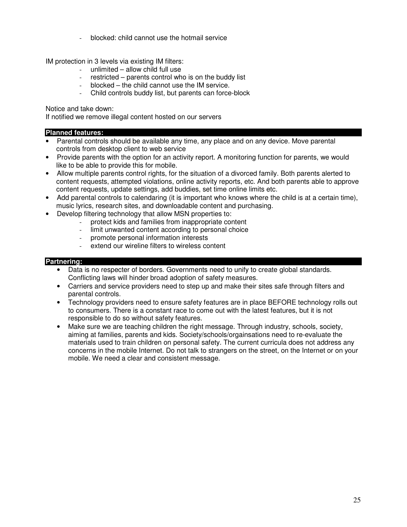- blocked: child cannot use the hotmail service

IM protection in 3 levels via existing IM filters:

- unlimited  $-$  allow child full use
- restricted parents control who is on the buddy list
- $b$ locked the child cannot use the IM service.
- Child controls buddy list, but parents can force-block

Notice and take down:

If notified we remove illegal content hosted on our servers

#### **Planned features:**

- Parental controls should be available any time, any place and on any device. Move parental controls from desktop client to web service
- Provide parents with the option for an activity report. A monitoring function for parents, we would like to be able to provide this for mobile.
- Allow multiple parents control rights, for the situation of a divorced family. Both parents alerted to content requests, attempted violations, online activity reports, etc. And both parents able to approve content requests, update settings, add buddies, set time online limits etc.
- Add parental controls to calendaring (it is important who knows where the child is at a certain time), music lyrics, research sites, and downloadable content and purchasing.
- Develop filtering technology that allow MSN properties to:
	- protect kids and families from inappropriate content
	- limit unwanted content according to personal choice
	- promote personal information interests
	- extend our wireline filters to wireless content

#### **Partnering:**

- Data is no respecter of borders. Governments need to unify to create global standards. Conflicting laws will hinder broad adoption of safety measures.
- Carriers and service providers need to step up and make their sites safe through filters and parental controls.
- Technology providers need to ensure safety features are in place BEFORE technology rolls out to consumers. There is a constant race to come out with the latest features, but it is not responsible to do so without safety features.
- Make sure we are teaching children the right message. Through industry, schools, society, aiming at families, parents and kids. Society/schools/orgainsations need to re-evaluate the materials used to train children on personal safety. The current curricula does not address any concerns in the mobile Internet. Do not talk to strangers on the street, on the Internet or on your mobile. We need a clear and consistent message.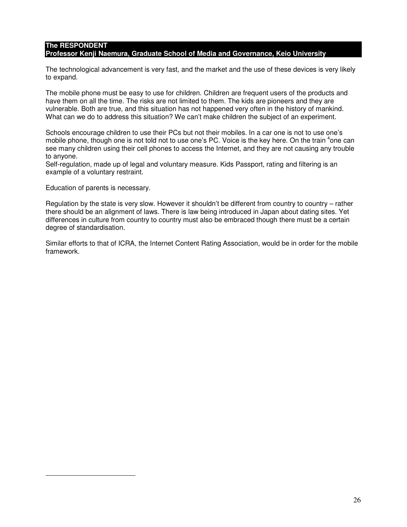#### **The RESPONDENT Professor Kenji Naemura, Graduate School of Media and Governance, Keio University**

The technological advancement is very fast, and the market and the use of these devices is very likely to expand.

The mobile phone must be easy to use for children. Children are frequent users of the products and have them on all the time. The risks are not limited to them. The kids are pioneers and they are vulnerable. Both are true, and this situation has not happened very often in the history of mankind. What can we do to address this situation? We can't make children the subject of an experiment.

Schools encourage children to use their PCs but not their mobiles. In a car one is not to use one's mobile phone, though one is not told not to use one's PC. Voice is the key here. On the train <sup>4</sup>one can see many children using their cell phones to access the Internet, and they are not causing any trouble to anyone.

Self-regulation, made up of legal and voluntary measure. Kids Passport, rating and filtering is an example of a voluntary restraint.

Education of parents is necessary.

Regulation by the state is very slow. However it shouldn't be different from country to country – rather there should be an alignment of laws. There is law being introduced in Japan about dating sites. Yet differences in culture from country to country must also be embraced though there must be a certain degree of standardisation.

Similar efforts to that of ICRA, the Internet Content Rating Association, would be in order for the mobile framework.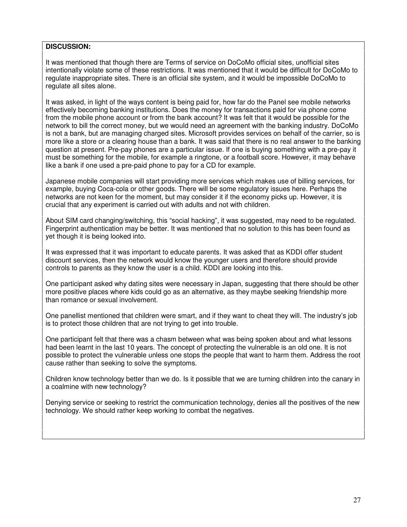#### **DISCUSSION:**

It was mentioned that though there are Terms of service on DoCoMo official sites, unofficial sites intentionally violate some of these restrictions. It was mentioned that it would be difficult for DoCoMo to regulate inappropriate sites. There is an official site system, and it would be impossible DoCoMo to regulate all sites alone.

It was asked, in light of the ways content is being paid for, how far do the Panel see mobile networks effectively becoming banking institutions. Does the money for transactions paid for via phone come from the mobile phone account or from the bank account? It was felt that it would be possible for the network to bill the correct money, but we would need an agreement with the banking industry. DoCoMo is not a bank, but are managing charged sites. Microsoft provides services on behalf of the carrier, so is more like a store or a clearing house than a bank. It was said that there is no real answer to the banking question at present. Pre-pay phones are a particular issue. If one is buying something with a pre-pay it must be something for the mobile, for example a ringtone, or a football score. However, it may behave like a bank if one used a pre-paid phone to pay for a CD for example.

Japanese mobile companies will start providing more services which makes use of billing services, for example, buying Coca-cola or other goods. There will be some regulatory issues here. Perhaps the networks are not keen for the moment, but may consider it if the economy picks up. However, it is crucial that any experiment is carried out with adults and not with children.

About SIM card changing/switching, this "social hacking", it was suggested, may need to be regulated. Fingerprint authentication may be better. It was mentioned that no solution to this has been found as yet though it is being looked into.

It was expressed that it was important to educate parents. It was asked that as KDDI offer student discount services, then the network would know the younger users and therefore should provide controls to parents as they know the user is a child. KDDI are looking into this.

One participant asked why dating sites were necessary in Japan, suggesting that there should be other more positive places where kids could go as an alternative, as they maybe seeking friendship more than romance or sexual involvement.

One panellist mentioned that children were smart, and if they want to cheat they will. The industry's job is to protect those children that are not trying to get into trouble.

One participant felt that there was a chasm between what was being spoken about and what lessons had been learnt in the last 10 years. The concept of protecting the vulnerable is an old one. It is not possible to protect the vulnerable unless one stops the people that want to harm them. Address the root cause rather than seeking to solve the symptoms.

Children know technology better than we do. Is it possible that we are turning children into the canary in a coalmine with new technology?

Denying service or seeking to restrict the communication technology, denies all the positives of the new technology. We should rather keep working to combat the negatives.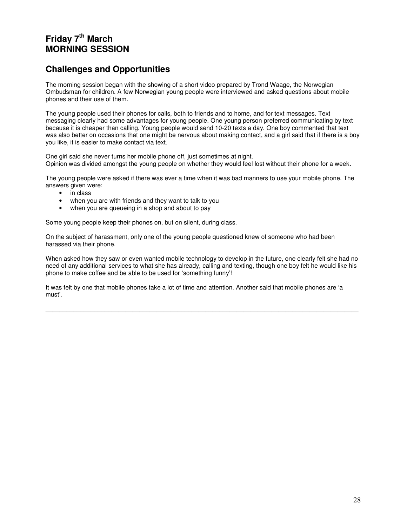# **Friday 7 th March MORNING SESSION**

# **Challenges and Opportunities**

The morning session began with the showing of a short video prepared by Trond Waage, the Norwegian Ombudsman for children. A few Norwegian young people were interviewed and asked questions about mobile phones and their use of them.

The young people used their phones for calls, both to friends and to home, and for text messages. Text messaging clearly had some advantages for young people. One young person preferred communicating by text because it is cheaper than calling. Young people would send 10-20 texts a day. One boy commented that text was also better on occasions that one might be nervous about making contact, and a girl said that if there is a boy you like, it is easier to make contact via text.

One girl said she never turns her mobile phone off, just sometimes at night. Opinion was divided amongst the young people on whether they would feel lost without their phone for a week.

The young people were asked if there was ever a time when it was bad manners to use your mobile phone. The answers given were:

- in class
- when you are with friends and they want to talk to you
- when you are queueing in a shop and about to pay

Some young people keep their phones on, but on silent, during class.

On the subject of harassment, only one of the young people questioned knew of someone who had been harassed via their phone.

When asked how they saw or even wanted mobile technology to develop in the future, one clearly felt she had no need of any additional services to what she has already, calling and texting, though one boy felt he would like his phone to make coffee and be able to be used for 'something funny'!

\_\_\_\_\_\_\_\_\_\_\_\_\_\_\_\_\_\_\_\_\_\_\_\_\_\_\_\_\_\_\_\_\_\_\_\_\_\_\_\_\_\_\_\_\_\_\_\_\_\_\_\_\_\_\_\_\_\_\_\_\_\_\_\_\_\_\_\_\_\_\_\_\_\_\_\_\_\_\_\_\_\_\_\_\_\_\_\_\_\_

It was felt by one that mobile phones take a lot of time and attention. Another said that mobile phones are 'a must'.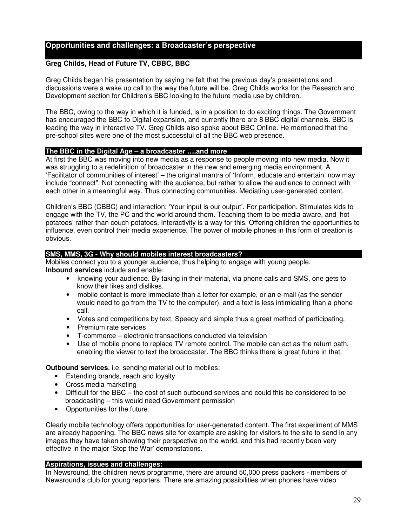#### **Opportunities and challenges: a Broadcaster's perspective**

#### **Greg Childs, Head of Future TV, CBBC, BBC**

Greg Childs began his presentation by saying he felt that the previous day's presentations and discussions were a wake up call to the way the future will be. Greg Childs works for the Research and Development section for Children's BBC looking to the future media use by children.

The BBC, owing to the way in which it is funded, is in a position to do exciting things. The Government has encouraged the BBC to Digital expansion, and currently there are 8 BBC digital channels. BBC is leading the way in interactive TV. Greg Childs also spoke about BBC Online. He mentioned that the pre-school sites were one of the most successful of all the BBC web presence.

#### **The BBC in the Digital Age – a broadcaster ….and more**

At first the BBC was moving into new media as a response to people moving into new media. Now it was struggling to a redefinition of broadcaster in the new and emerging media environment. A 'Facilitator of communities of interest' – the original mantra of 'Inform, educate and entertain' now may include "connect". Not connecting with the audience, but rather to allow the audience to connect with each other in a meaningful way. Thus connecting communities. Mediating user-generated content.

Children's BBC (CBBC) and interaction: 'Your input is our output'. For participation. Stimulates kids to engage with the TV, the PC and the world around them. Teaching them to be media aware, and 'hot potatoes' rather than couch potatoes. Interactivity is a way for this. Offering children the opportunities to influence, even control their media experience. The power of mobile phones in this form of creation is obvious.

#### **SMS, MMS, 3G - Why should mobiles interest broadcasters?**

Mobiles connect you to a younger audience, thus helping to engage with young people. **Inbound services** include and enable:

- knowing your audience. By taking in their material, via phone calls and SMS, one gets to know their likes and dislikes.
- mobile contact is more immediate than a letter for example, or an e-mail (as the sender would need to go from the TV to the computer), and a text is less intimidating than a phone call.
- Votes and competitions by text. Speedy and simple thus a great method of participating.
- Premium rate services
- T-commerce electronic transactions conducted via television
- Use of mobile phone to replace TV remote control. The mobile can act as the return path, enabling the viewer to text the broadcaster. The BBC thinks there is great future in that.

**Outbound services**, i.e. sending material out to mobiles:

- Extending brands, reach and loyalty
- Cross media marketing
- Difficult for the BBC the cost of such outbound services and could this be considered to be broadcasting – this would need Government permission
- Opportunities for the future.

Clearly mobile technology offers opportunities for user-generated content. The first experiment of MMS are already happening. The BBC news site for example are asking for visitors to the site to send in any images they have taken showing their perspective on the world, and this had recently been very effective in the major 'Stop the War' demonstations.

#### **Aspirations, issues and challenges:**

In Newsround, the children news programme, there are around 50,000 press packers - members of Newsround's club for young reporters. There are amazing possibilities when phones have video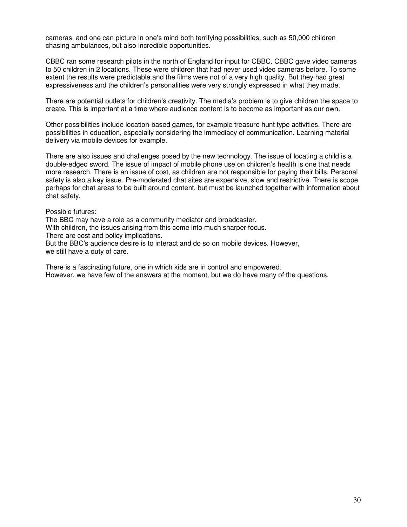cameras, and one can picture in one's mind both terrifying possibilities, such as 50,000 children chasing ambulances, but also incredible opportunities.

CBBC ran some research pilots in the north of England for input for CBBC. CBBC gave video cameras to 50 children in 2 locations. These were children that had never used video cameras before. To some extent the results were predictable and the films were not of a very high quality. But they had great expressiveness and the children's personalities were very strongly expressed in what they made.

There are potential outlets for children's creativity. The media's problem is to give children the space to create. This is important at a time where audience content is to become as important as our own.

Other possibilities include location-based games, for example treasure hunt type activities. There are possibilities in education, especially considering the immediacy of communication. Learning material delivery via mobile devices for example.

There are also issues and challenges posed by the new technology. The issue of locating a child is a double-edged sword. The issue of impact of mobile phone use on children's health is one that needs more research. There is an issue of cost, as children are not responsible for paying their bills. Personal safety is also a key issue. Pre-moderated chat sites are expensive, slow and restrictive. There is scope perhaps for chat areas to be built around content, but must be launched together with information about chat safety.

Possible futures:

The BBC may have a role as a community mediator and broadcaster.

With children, the issues arising from this come into much sharper focus.

There are cost and policy implications.

But the BBC's audience desire is to interact and do so on mobile devices. However, we still have a duty of care.

There is a fascinating future, one in which kids are in control and empowered. However, we have few of the answers at the moment, but we do have many of the questions.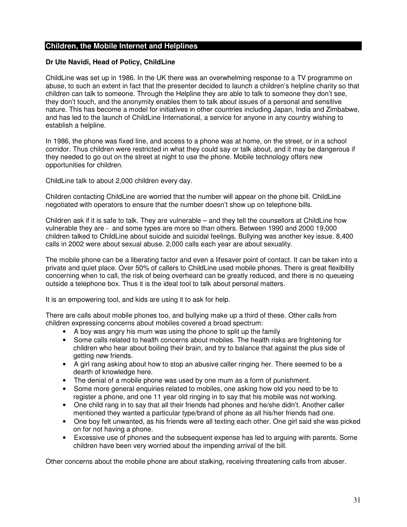#### **Children, the Mobile Internet and Helplines**

#### **Dr Ute Navidi, Head of Policy, ChildLine**

ChildLine was set up in 1986. In the UK there was an overwhelming response to a TV programme on abuse, to such an extent in fact that the presenter decided to launch a children's helpline charity so that children can talk to someone. Through the Helpline they are able to talk to someone they don't see, they don't touch, and the anonymity enables them to talk about issues of a personal and sensitive nature. This has become a model for initiatives in other countries including Japan, India and Zimbabwe, and has led to the launch of ChildLine International, a service for anyone in any country wishing to establish a helpline.

In 1986, the phone was fixed line, and access to a phone was at home, on the street, or in a school corridor. Thus children were restricted in what they could say or talk about, and it may be dangerous if they needed to go out on the street at night to use the phone. Mobile technology offers new opportunities for children.

ChildLine talk to about 2,000 children every day.

Children contacting ChildLine are worried that the number will appear on the phone bill. ChildLine negotiated with operators to ensure that the number doesn't show up on telephone bills.

Children ask if it is safe to talk. They are vulnerable – and they tell the counsellors at ChildLine how vulnerable they are - and some types are more so than others. Between 1990 and 2000 19,000 children talked to ChildLine about suicide and suicidal feelings. Bullying was another key issue. 8,400 calls in 2002 were about sexual abuse. 2,000 calls each year are about sexuality.

The mobile phone can be a liberating factor and even a lifesaver point of contact. It can be taken into a private and quiet place. Over 50% of callers to ChildLine used mobile phones. There is great flexibility concerning when to call, the risk of being overheard can be greatly reduced, and there is no queueing outside a telephone box. Thus it is the ideal tool to talk about personal matters.

It is an empowering tool, and kids are using it to ask for help.

There are calls about mobile phones too, and bullying make up a third of these. Other calls from children expressing concerns about mobiles covered a broad spectrum:

- A boy was angry his mum was using the phone to split up the family
- Some calls related to health concerns about mobiles. The health risks are frightening for children who hear about boiling their brain, and try to balance that against the plus side of getting new friends.
- A girl rang asking about how to stop an abusive caller ringing her. There seemed to be a dearth of knowledge here.
- The denial of a mobile phone was used by one mum as a form of punishment.
- Some more general enquiries related to mobiles, one asking how old you need to be to register a phone, and one 11 year old ringing in to say that his mobile was not working.
- One child rang in to say that all their friends had phones and he/she didn't. Another caller mentioned they wanted a particular type/brand of phone as all his/her friends had one.
- One boy felt unwanted, as his friends were all texting each other. One girl said she was picked on for not having a phone.
- Excessive use of phones and the subsequent expense has led to arguing with parents. Some children have been very worried about the impending arrival of the bill.

Other concerns about the mobile phone are about stalking, receiving threatening calls from abuser.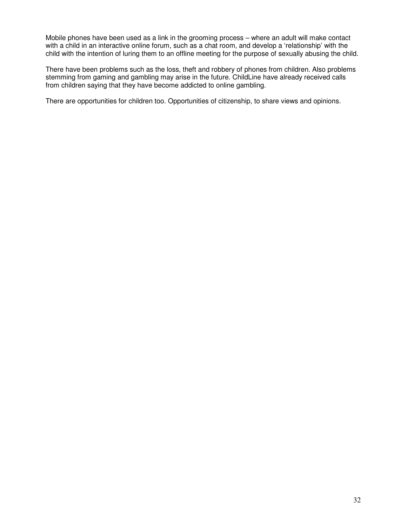Mobile phones have been used as a link in the grooming process – where an adult will make contact with a child in an interactive online forum, such as a chat room, and develop a 'relationship' with the child with the intention of luring them to an offline meeting for the purpose of sexually abusing the child.

There have been problems such as the loss, theft and robbery of phones from children. Also problems stemming from gaming and gambling may arise in the future. ChildLine have already received calls from children saying that they have become addicted to online gambling.

There are opportunities for children too. Opportunities of citizenship, to share views and opinions.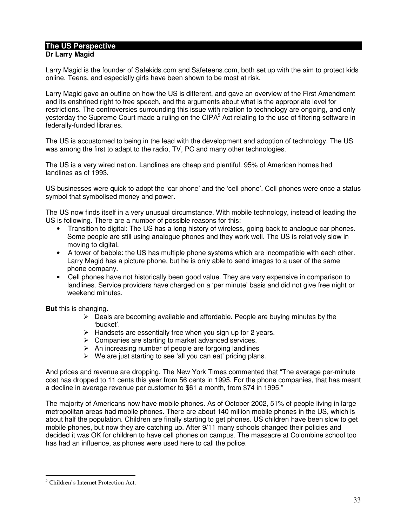# **The US Perspective**

#### **Dr Larry Magid**

Larry Magid is the founder of Safekids.com and Safeteens.com, both set up with the aim to protect kids online. Teens, and especially girls have been shown to be most at risk.

Larry Magid gave an outline on how the US is different, and gave an overview of the First Amendment and its enshrined right to free speech, and the arguments about what is the appropriate level for restrictions. The controversies surrounding this issue with relation to technology are ongoing, and only yesterday the Supreme Court made a ruling on the CIPA<sup>5</sup> Act relating to the use of filtering software in federally-funded libraries.

The US is accustomed to being in the lead with the development and adoption of technology. The US was among the first to adapt to the radio, TV, PC and many other technologies.

The US is a very wired nation. Landlines are cheap and plentiful. 95% of American homes had landlines as of 1993.

US businesses were quick to adopt the 'car phone' and the 'cell phone'. Cell phones were once a status symbol that symbolised money and power.

The US now finds itself in a very unusual circumstance. With mobile technology, instead of leading the US is following. There are a number of possible reasons for this:

- Transition to digital: The US has a long history of wireless, going back to analogue car phones. Some people are still using analogue phones and they work well. The US is relatively slow in moving to digital.
- A tower of babble: the US has multiple phone systems which are incompatible with each other. Larry Magid has a picture phone, but he is only able to send images to a user of the same phone company.
- Cell phones have not historically been good value. They are very expensive in comparison to landlines. Service providers have charged on a 'per minute' basis and did not give free night or weekend minutes.

**But** this is changing.

- $\triangleright$  Deals are becoming available and affordable. People are buying minutes by the 'bucket'.
- $\triangleright$  Handsets are essentially free when you sign up for 2 years.
- ¾ Companies are starting to market advanced services.
- $\triangleright$  An increasing number of people are forgoing landlines
- $\triangleright$  We are just starting to see 'all you can eat' pricing plans.

And prices and revenue are dropping. The New York Times commented that "The average per-minute cost has dropped to 11 cents this year from 56 cents in 1995. For the phone companies, that has meant a decline in average revenue per customer to \$61 a month, from \$74 in 1995."

The majority of Americans now have mobile phones. As of October 2002, 51% of people living in large metropolitan areas had mobile phones. There are about 140 million mobile phones in the US, which is about half the population. Children are finally starting to get phones. US children have been slow to get mobile phones, but now they are catching up. After 9/11 many schools changed their policies and decided it was OK for children to have cell phones on campus. The massacre at Colombine school too has had an influence, as phones were used here to call the police.

 $<sup>5</sup>$  Children's Internet Protection Act.</sup>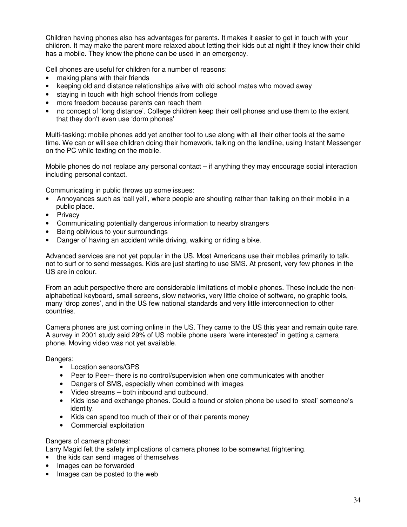Children having phones also has advantages for parents. It makes it easier to get in touch with your children. It may make the parent more relaxed about letting their kids out at night if they know their child has a mobile. They know the phone can be used in an emergency.

Cell phones are useful for children for a number of reasons:

- making plans with their friends
- keeping old and distance relationships alive with old school mates who moved away
- staying in touch with high school friends from college
- more freedom because parents can reach them
- no concept of 'long distance'. College children keep their cell phones and use them to the extent that they don't even use 'dorm phones'

Multi-tasking: mobile phones add yet another tool to use along with all their other tools at the same time. We can or will see children doing their homework, talking on the landline, using Instant Messenger on the PC while texting on the mobile.

Mobile phones do not replace any personal contact – if anything they may encourage social interaction including personal contact.

Communicating in public throws up some issues:

- Annoyances such as 'call yell', where people are shouting rather than talking on their mobile in a public place.
- Privacy
- Communicating potentially dangerous information to nearby strangers
- Being oblivious to your surroundings
- Danger of having an accident while driving, walking or riding a bike.

Advanced services are not yet popular in the US. Most Americans use their mobiles primarily to talk, not to surf or to send messages. Kids are just starting to use SMS. At present, very few phones in the US are in colour.

From an adult perspective there are considerable limitations of mobile phones. These include the nonalphabetical keyboard, small screens, slow networks, very little choice of software, no graphic tools, many 'drop zones', and in the US few national standards and very little interconnection to other countries.

Camera phones are just coming online in the US. They came to the US this year and remain quite rare. A survey in 2001 study said 29% of US mobile phone users 'were interested' in getting a camera phone. Moving video was not yet available.

Dangers:

- Location sensors/GPS
- Peer to Peer– there is no control/supervision when one communicates with another
- Dangers of SMS, especially when combined with images
- Video streams both inbound and outbound.
- Kids lose and exchange phones. Could a found or stolen phone be used to 'steal' someone's identity.
- Kids can spend too much of their or of their parents money
- Commercial exploitation

Dangers of camera phones:

Larry Magid felt the safety implications of camera phones to be somewhat frightening.

• the kids can send images of themselves

- Images can be forwarded
- Images can be posted to the web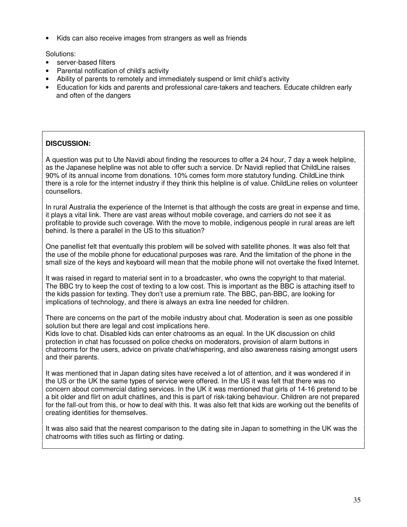• Kids can also receive images from strangers as well as friends

Solutions:

- server-based filters
- Parental notification of child's activity
- Ability of parents to remotely and immediately suspend or limit child's activity
- Education for kids and parents and professional care-takers and teachers. Educate children early and often of the dangers

#### **DISCUSSION:**

A question was put to Ute Navidi about finding the resources to offer a 24 hour, 7 day a week helpline, as the Japanese helpline was not able to offer such a service. Dr Navidi replied that ChildLine raises 90% of its annual income from donations. 10% comes form more statutory funding. ChildLine think there is a role for the internet industry if they think this helpline is of value. ChildLine relies on volunteer counsellors.

In rural Australia the experience of the Internet is that although the costs are great in expense and time, it plays a vital link. There are vast areas without mobile coverage, and carriers do not see it as profitable to provide such coverage. With the move to mobile, indigenous people in rural areas are left behind. Is there a parallel in the US to this situation?

One panellist felt that eventually this problem will be solved with satellite phones. It was also felt that the use of the mobile phone for educational purposes was rare. And the limitation of the phone in the small size of the keys and keyboard will mean that the mobile phone will not overtake the fixed Internet.

It was raised in regard to material sent in to a broadcaster, who owns the copyright to that material. The BBC try to keep the cost of texting to a low cost. This is important as the BBC is attaching itself to the kids passion for texting. They don't use a premium rate. The BBC, pan-BBC, are looking for implications of technology, and there is always an extra line needed for children.

There are concerns on the part of the mobile industry about chat. Moderation is seen as one possible solution but there are legal and cost implications here.

Kids love to chat. Disabled kids can enter chatrooms as an equal. In the UK discussion on child protection in chat has focussed on police checks on moderators, provision of alarm buttons in chatrooms for the users, advice on private chat/whispering, and also awareness raising amongst users and their parents.

It was mentioned that in Japan dating sites have received a lot of attention, and it was wondered if in the US or the UK the same types of service were offered. In the US it was felt that there was no concern about commercial dating services. In the UK it was mentioned that girls of 14-16 pretend to be a bit older and flirt on adult chatlines, and this is part of risk-taking behaviour. Children are not prepared for the fall-out from this, or how to deal with this. It was also felt that kids are working out the benefits of creating identities for themselves.

It was also said that the nearest comparison to the dating site in Japan to something in the UK was the chatrooms with titles such as flirting or dating.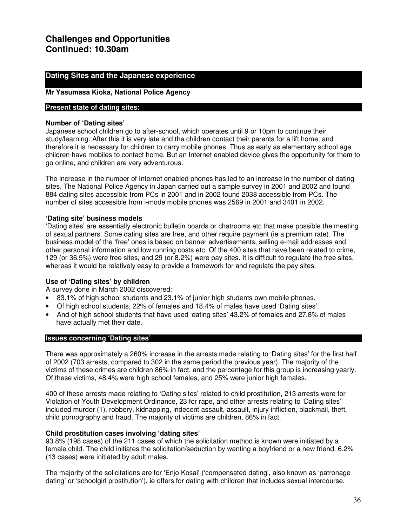# **Challenges and Opportunities Continued: 10.30am**

#### **Dating Sites and the Japanese experience**

#### **Mr Yasumasa Kioka, National Police Agency**

#### **Present state of dating sites:**

#### **Number of 'Dating sites'**

Japanese school children go to after-school, which operates until 9 or 10pm to continue their study/learning. After this it is very late and the children contact their parents for a lift home, and therefore it is necessary for children to carry mobile phones. Thus as early as elementary school age children have mobiles to contact home. But an Internet enabled device gives the opportunity for them to go online, and children are very adventurous.

The increase in the number of Internet enabled phones has led to an increase in the number of dating sites. The National Police Agency in Japan carried out a sample survey in 2001 and 2002 and found 884 dating sites accessible from PCs in 2001 and in 2002 found 2038 accessible from PCs. The number of sites accessible from i-mode mobile phones was 2569 in 2001 and 3401 in 2002.

#### **'Dating site' business models**

'Dating sites' are essentially electronic bulletin boards or chatrooms etc that make possible the meeting of sexual partners. Some dating sites are free, and other require payment (ie a premium rate). The business model of the 'free' ones is based on banner advertisements, selling e-mail addresses and other personal information and low running costs etc. Of the 400 sites that have been related to crime, 129 (or 36.5%) were free sites, and 29 (or 8.2%) were pay sites. It is difficult to regulate the free sites, whereas it would be relatively easy to provide a framework for and regulate the pay sites.

#### **Use of 'Dating sites' by children**

A survey done in March 2002 discovered:

- 83.1% of high school students and 23.1% of junior high students own mobile phones.
- Of high school students, 22% of females and 18.4% of males have used 'Dating sites'.
- And of high school students that have used 'dating sites' 43.2% of females and 27.8% of males have actually met their date.

#### **Issues concerning 'Dating sites'**

There was approximately a 260% increase in the arrests made relating to 'Dating sites' for the first half of 2002 (703 arrests, compared to 302 in the same period the previous year). The majority of the victims of these crimes are children 86% in fact, and the percentage for this group is increasing yearly. Of these victims, 48.4% were high school females, and 25% were junior high females.

400 of these arrests made relating to 'Dating sites' related to child prostitution, 213 arrests were for Violation of Youth Development Ordinance, 23 for rape, and other arrests relating to 'Dating sites' included murder (1), robbery, kidnapping, indecent assault, assault, injury infliction, blackmail, theft, child pornography and fraud. The majority of victims are children, 86% in fact.

#### **Child prostitution cases involving 'dating sites'**

93.8% (198 cases) of the 211 cases of which the solicitation method is known were initiated by a female child. The child initiates the solicitation/seduction by wanting a boyfriend or a new friend. 6.2% (13 cases) were initiated by adult males.

The majority of the solicitations are for 'Enjo Kosai' ('compensated dating', also known as 'patronage dating' or 'schoolgirl prostitution'), ie offers for dating with children that includes sexual intercourse.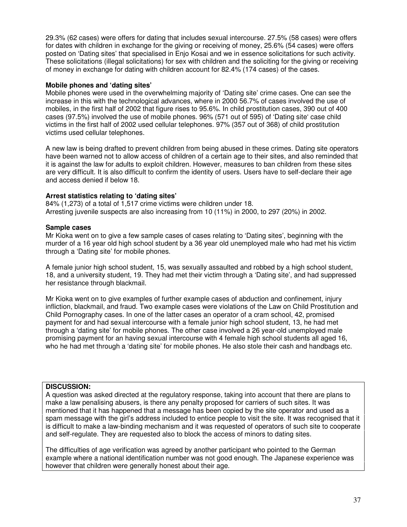29.3% (62 cases) were offers for dating that includes sexual intercourse. 27.5% (58 cases) were offers for dates with children in exchange for the giving or receiving of money, 25.6% (54 cases) were offers posted on 'Dating sites' that specialised in Enjo Kosai and we in essence solicitations for such activity. These solicitations (illegal solicitations) for sex with children and the soliciting for the giving or receiving of money in exchange for dating with children account for 82.4% (174 cases) of the cases.

#### **Mobile phones and 'dating sites'**

Mobile phones were used in the overwhelming majority of 'Dating site' crime cases. One can see the increase in this with the technological advances, where in 2000 56.7% of cases involved the use of mobiles, in the first half of 2002 that figure rises to 95.6%. In child prostitution cases, 390 out of 400 cases (97.5%) involved the use of mobile phones. 96% (571 out of 595) of 'Dating site' case child victims in the first half of 2002 used cellular telephones. 97% (357 out of 368) of child prostitution victims used cellular telephones.

A new law is being drafted to prevent children from being abused in these crimes. Dating site operators have been warned not to allow access of children of a certain age to their sites, and also reminded that it is against the law for adults to exploit children. However, measures to ban children from these sites are very difficult. It is also difficult to confirm the identity of users. Users have to self-declare their age and access denied if below 18.

#### **Arrest statistics relating to 'dating sites'**

84% (1,273) of a total of 1,517 crime victims were children under 18. Arresting juvenile suspects are also increasing from 10 (11%) in 2000, to 297 (20%) in 2002.

#### **Sample cases**

Mr Kioka went on to give a few sample cases of cases relating to 'Dating sites', beginning with the murder of a 16 year old high school student by a 36 year old unemployed male who had met his victim through a 'Dating site' for mobile phones.

A female junior high school student, 15, was sexually assaulted and robbed by a high school student, 18, and a university student, 19. They had met their victim through a 'Dating site', and had suppressed her resistance through blackmail.

Mr Kioka went on to give examples of further example cases of abduction and confinement, injury infliction, blackmail, and fraud. Two example cases were violations of the Law on Child Prostitution and Child Pornography cases. In one of the latter cases an operator of a cram school, 42, promised payment for and had sexual intercourse with a female junior high school student, 13, he had met through a 'dating site' for mobile phones. The other case involved a 26 year-old unemployed male promising payment for an having sexual intercourse with 4 female high school students all aged 16, who he had met through a 'dating site' for mobile phones. He also stole their cash and handbags etc.

#### **DISCUSSION:**

A question was asked directed at the regulatory response, taking into account that there are plans to make a law penalising abusers, is there any penalty proposed for carriers of such sites. It was mentioned that it has happened that a message has been copied by the site operator and used as a spam message with the girl's address included to entice people to visit the site. It was recognised that it is difficult to make a law-binding mechanism and it was requested of operators of such site to cooperate and self-regulate. They are requested also to block the access of minors to dating sites.

The difficulties of age verification was agreed by another participant who pointed to the German example where a national identification number was not good enough. The Japanese experience was however that children were generally honest about their age.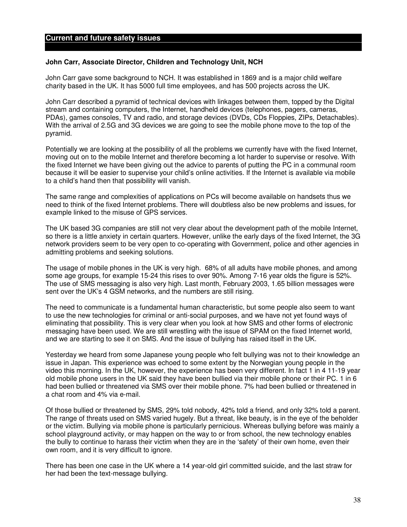#### **Current and future safety issues**

#### **John Carr, Associate Director, Children and Technology Unit, NCH**

John Carr gave some background to NCH. It was established in 1869 and is a major child welfare charity based in the UK. It has 5000 full time employees, and has 500 projects across the UK.

John Carr described a pyramid of technical devices with linkages between them, topped by the Digital stream and containing computers, the Internet, handheld devices (telephones, pagers, cameras, PDAs), games consoles, TV and radio, and storage devices (DVDs, CDs Floppies, ZIPs, Detachables). With the arrival of 2.5G and 3G devices we are going to see the mobile phone move to the top of the pyramid.

Potentially we are looking at the possibility of all the problems we currently have with the fixed Internet, moving out on to the mobile Internet and therefore becoming a lot harder to supervise or resolve. With the fixed Internet we have been giving out the advice to parents of putting the PC in a communal room because it will be easier to supervise your child's online activities. If the Internet is available via mobile to a child's hand then that possibility will vanish.

The same range and complexities of applications on PCs will become available on handsets thus we need to think of the fixed Internet problems. There will doubtless also be new problems and issues, for example linked to the misuse of GPS services.

The UK based 3G companies are still not very clear about the development path of the mobile Internet, so there is a little anxiety in certain quarters. However, unlike the early days of the fixed Internet, the 3G network providers seem to be very open to co-operating with Government, police and other agencies in admitting problems and seeking solutions.

The usage of mobile phones in the UK is very high. 68% of all adults have mobile phones, and among some age groups, for example 15-24 this rises to over 90%. Among 7-16 year olds the figure is 52%. The use of SMS messaging is also very high. Last month, February 2003, 1.65 billion messages were sent over the UK's 4 GSM networks, and the numbers are still rising.

The need to communicate is a fundamental human characteristic, but some people also seem to want to use the new technologies for criminal or anti-social purposes, and we have not yet found ways of eliminating that possibility. This is very clear when you look at how SMS and other forms of electronic messaging have been used. We are still wrestling with the issue of SPAM on the fixed Internet world, and we are starting to see it on SMS. And the issue of bullying has raised itself in the UK.

Yesterday we heard from some Japanese young people who felt bullying was not to their knowledge an issue in Japan. This experience was echoed to some extent by the Norwegian young people in the video this morning. In the UK, however, the experience has been very different. In fact 1 in 4 11-19 year old mobile phone users in the UK said they have been bullied via their mobile phone or their PC. 1 in 6 had been bullied or threatened via SMS over their mobile phone. 7% had been bullied or threatened in a chat room and 4% via e-mail.

Of those bullied or threatened by SMS, 29% told nobody, 42% told a friend, and only 32% told a parent. The range of threats used on SMS varied hugely. But a threat, like beauty, is in the eye of the beholder or the victim. Bullying via mobile phone is particularly pernicious. Whereas bullying before was mainly a school playground activity, or may happen on the way to or from school, the new technology enables the bully to continue to harass their victim when they are in the 'safety' of their own home, even their own room, and it is very difficult to ignore.

There has been one case in the UK where a 14 year-old girl committed suicide, and the last straw for her had been the text-message bullying.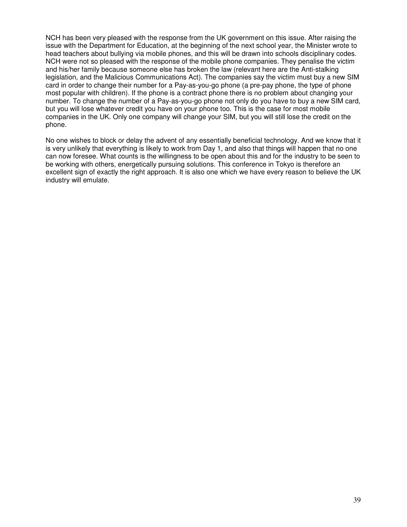NCH has been very pleased with the response from the UK government on this issue. After raising the issue with the Department for Education, at the beginning of the next school year, the Minister wrote to head teachers about bullying via mobile phones, and this will be drawn into schools disciplinary codes. NCH were not so pleased with the response of the mobile phone companies. They penalise the victim and his/her family because someone else has broken the law (relevant here are the Anti-stalking legislation, and the Malicious Communications Act). The companies say the victim must buy a new SIM card in order to change their number for a Pay-as-you-go phone (a pre-pay phone, the type of phone most popular with children). If the phone is a contract phone there is no problem about changing your number. To change the number of a Pay-as-you-go phone not only do you have to buy a new SIM card, but you will lose whatever credit you have on your phone too. This is the case for most mobile companies in the UK. Only one company will change your SIM, but you will still lose the credit on the phone.

No one wishes to block or delay the advent of any essentially beneficial technology. And we know that it is very unlikely that everything is likely to work from Day 1, and also that things will happen that no one can now foresee. What counts is the willingness to be open about this and for the industry to be seen to be working with others, energetically pursuing solutions. This conference in Tokyo is therefore an excellent sign of exactly the right approach. It is also one which we have every reason to believe the UK industry will emulate.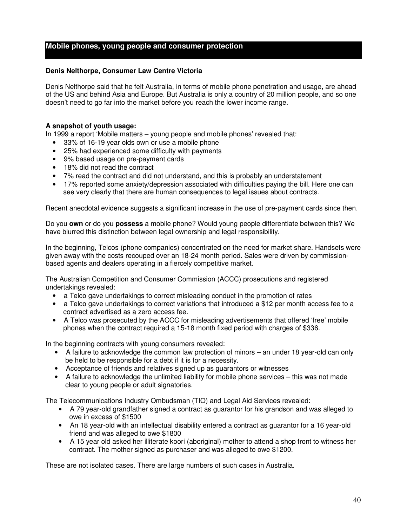#### **Mobile phones, young people and consumer protection**

#### **Denis Nelthorpe, Consumer Law Centre Victoria**

Denis Nelthorpe said that he felt Australia, in terms of mobile phone penetration and usage, are ahead of the US and behind Asia and Europe. But Australia is only a country of 20 million people, and so one doesn't need to go far into the market before you reach the lower income range.

#### **A snapshot of youth usage:**

In 1999 a report 'Mobile matters – young people and mobile phones' revealed that:

- 33% of 16-19 year olds own or use a mobile phone
- 25% had experienced some difficulty with payments
- 9% based usage on pre-payment cards
- 18% did not read the contract
- 7% read the contract and did not understand, and this is probably an understatement
- 17% reported some anxiety/depression associated with difficulties paying the bill. Here one can see very clearly that there are human consequences to legal issues about contracts.

Recent anecdotal evidence suggests a significant increase in the use of pre-payment cards since then.

Do you **own** or do you **possess** a mobile phone? Would young people differentiate between this? We have blurred this distinction between legal ownership and legal responsibility.

In the beginning, Telcos (phone companies) concentrated on the need for market share. Handsets were given away with the costs recouped over an 18-24 month period. Sales were driven by commissionbased agents and dealers operating in a fiercely competitive market.

The Australian Competition and Consumer Commission (ACCC) prosecutions and registered undertakings revealed:

- a Telco gave undertakings to correct misleading conduct in the promotion of rates
- a Telco gave undertakings to correct variations that introduced a \$12 per month access fee to a contract advertised as a zero access fee.
- A Telco was prosecuted by the ACCC for misleading advertisements that offered 'free' mobile phones when the contract required a 15-18 month fixed period with charges of \$336.

In the beginning contracts with young consumers revealed:

- A failure to acknowledge the common law protection of minors an under 18 year-old can only be held to be responsible for a debt if it is for a necessity.
- Acceptance of friends and relatives signed up as guarantors or witnesses
- A failure to acknowledge the unlimited liability for mobile phone services this was not made clear to young people or adult signatories.

The Telecommunications Industry Ombudsman (TIO) and Legal Aid Services revealed:

- A 79 year-old grandfather signed a contract as guarantor for his grandson and was alleged to owe in excess of \$1500
- An 18 year-old with an intellectual disability entered a contract as guarantor for a 16 year-old friend and was alleged to owe \$1800
- A 15 year old asked her illiterate koori (aboriginal) mother to attend a shop front to witness her contract. The mother signed as purchaser and was alleged to owe \$1200.

These are not isolated cases. There are large numbers of such cases in Australia.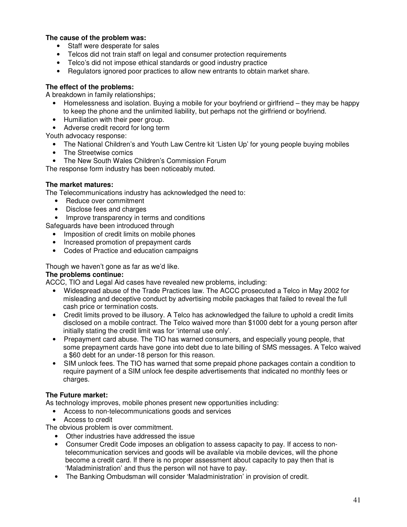#### **The cause of the problem was:**

- Staff were desperate for sales
- Telcos did not train staff on legal and consumer protection requirements
- Telco's did not impose ethical standards or good industry practice
- Regulators ignored poor practices to allow new entrants to obtain market share.

#### **The effect of the problems:**

A breakdown in family relationships;

- Homelessness and isolation. Buying a mobile for your boyfriend or girlfriend they may be happy to keep the phone and the unlimited liability, but perhaps not the girlfriend or boyfriend.
- Humiliation with their peer group.
- Adverse credit record for long term

Youth advocacy response:

- The National Children's and Youth Law Centre kit 'Listen Up' for young people buying mobiles
- The Streetwise comics
- The New South Wales Children's Commission Forum

The response form industry has been noticeably muted.

#### **The market matures:**

The Telecommunications industry has acknowledged the need to:

- Reduce over commitment
- Disclose fees and charges
- Improve transparency in terms and conditions

Safeguards have been introduced through

- Imposition of credit limits on mobile phones
- Increased promotion of prepayment cards
- Codes of Practice and education campaigns

Though we haven't gone as far as we'd like.

#### **The problems continue:**

ACCC, TIO and Legal Aid cases have revealed new problems, including:

- Widespread abuse of the Trade Practices law. The ACCC prosecuted a Telco in May 2002 for misleading and deceptive conduct by advertising mobile packages that failed to reveal the full cash price or termination costs.
- Credit limits proved to be illusory. A Telco has acknowledged the failure to uphold a credit limits disclosed on a mobile contract. The Telco waived more than \$1000 debt for a young person after initially stating the credit limit was for 'internal use only'.
- Prepayment card abuse. The TIO has warned consumers, and especially young people, that some prepayment cards have gone into debt due to late billing of SMS messages. A Telco waived a \$60 debt for an under-18 person for this reason.
- SIM unlock fees. The TIO has warned that some prepaid phone packages contain a condition to require payment of a SIM unlock fee despite advertisements that indicated no monthly fees or charges.

#### **The Future market:**

As technology improves, mobile phones present new opportunities including:

- Access to non-telecommunications goods and services
- Access to credit

The obvious problem is over commitment.

- Other industries have addressed the issue
- Consumer Credit Code imposes an obligation to assess capacity to pay. If access to nontelecommunication services and goods will be available via mobile devices, will the phone become a credit card. If there is no proper assessment about capacity to pay then that is 'Maladministration' and thus the person will not have to pay.
- The Banking Ombudsman will consider 'Maladministration' in provision of credit.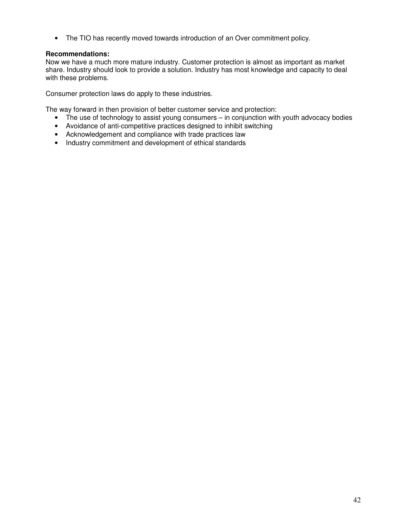• The TIO has recently moved towards introduction of an Over commitment policy.

#### **Recommendations:**

Now we have a much more mature industry. Customer protection is almost as important as market share. Industry should look to provide a solution. Industry has most knowledge and capacity to deal with these problems.

Consumer protection laws do apply to these industries.

The way forward in then provision of better customer service and protection:

- The use of technology to assist young consumers in conjunction with youth advocacy bodies
- Avoidance of anti-competitive practices designed to inhibit switching
- Acknowledgement and compliance with trade practices law
- Industry commitment and development of ethical standards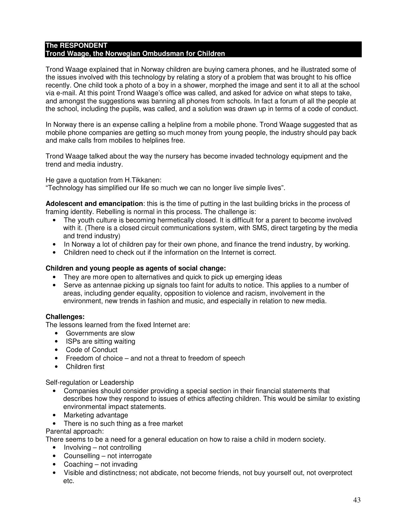#### **The RESPONDENT Trond Waage, the Norwegian Ombudsman for Children**

Trond Waage explained that in Norway children are buying camera phones, and he illustrated some of the issues involved with this technology by relating a story of a problem that was brought to his office recently. One child took a photo of a boy in a shower, morphed the image and sent it to all at the school via e-mail. At this point Trond Waage's office was called, and asked for advice on what steps to take, and amongst the suggestions was banning all phones from schools. In fact a forum of all the people at the school, including the pupils, was called, and a solution was drawn up in terms of a code of conduct.

In Norway there is an expense calling a helpline from a mobile phone. Trond Waage suggested that as mobile phone companies are getting so much money from young people, the industry should pay back and make calls from mobiles to helplines free.

Trond Waage talked about the way the nursery has become invaded technology equipment and the trend and media industry.

He gave a quotation from H.Tikkanen:

"Technology has simplified our life so much we can no longer live simple lives".

**Adolescent and emancipation**: this is the time of putting in the last building bricks in the process of framing identity. Rebelling is normal in this process. The challenge is:

- The youth culture is becoming hermetically closed. It is difficult for a parent to become involved with it. (There is a closed circuit communications system, with SMS, direct targeting by the media and trend industry)
- In Norway a lot of children pay for their own phone, and finance the trend industry, by working.
- Children need to check out if the information on the Internet is correct.

#### **Children and young people as agents of social change:**

- They are more open to alternatives and quick to pick up emerging ideas
- Serve as antennae picking up signals too faint for adults to notice. This applies to a number of areas, including gender equality, opposition to violence and racism, involvement in the environment, new trends in fashion and music, and especially in relation to new media.

#### **Challenges:**

The lessons learned from the fixed Internet are:

- Governments are slow
- ISPs are sitting waiting
- Code of Conduct
- Freedom of choice and not a threat to freedom of speech
- Children first

Self-regulation or Leadership

- Companies should consider providing a special section in their financial statements that describes how they respond to issues of ethics affecting children. This would be similar to existing environmental impact statements.
- Marketing advantage
- There is no such thing as a free market

Parental approach:

There seems to be a need for a general education on how to raise a child in modern society.

- Involving not controlling
- Counselling not interrogate
- Coaching not invading
- Visible and distinctness; not abdicate, not become friends, not buy yourself out, not overprotect etc.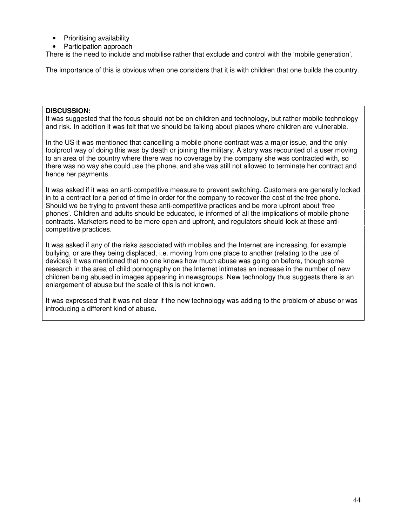- Prioritising availability
- Participation approach

There is the need to include and mobilise rather that exclude and control with the 'mobile generation'.

The importance of this is obvious when one considers that it is with children that one builds the country.

#### **DISCUSSION:**

It was suggested that the focus should not be on children and technology, but rather mobile technology and risk. In addition it was felt that we should be talking about places where children are vulnerable.

In the US it was mentioned that cancelling a mobile phone contract was a major issue, and the only foolproof way of doing this was by death or joining the military. A story was recounted of a user moving to an area of the country where there was no coverage by the company she was contracted with, so there was no way she could use the phone, and she was still not allowed to terminate her contract and hence her payments.

It was asked if it was an anti-competitive measure to prevent switching. Customers are generally locked in to a contract for a period of time in order for the company to recover the cost of the free phone. Should we be trying to prevent these anti-competitive practices and be more upfront about 'free phones'. Children and adults should be educated, ie informed of all the implications of mobile phone contracts. Marketers need to be more open and upfront, and regulators should look at these anticompetitive practices.

It was asked if any of the risks associated with mobiles and the Internet are increasing, for example bullying, or are they being displaced, i.e. moving from one place to another (relating to the use of devices) It was mentioned that no one knows how much abuse was going on before, though some research in the area of child pornography on the Internet intimates an increase in the number of new children being abused in images appearing in newsgroups. New technology thus suggests there is an enlargement of abuse but the scale of this is not known.

It was expressed that it was not clear if the new technology was adding to the problem of abuse or was introducing a different kind of abuse.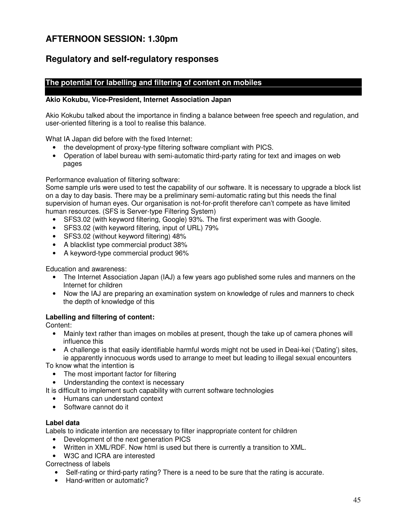# **AFTERNOON SESSION: 1.30pm**

# **Regulatory and self-regulatory responses**

#### **The potential for labelling and filtering of content on mobiles**

#### **Akio Kokubu, Vice-President, Internet Association Japan**

Akio Kokubu talked about the importance in finding a balance between free speech and regulation, and user-oriented filtering is a tool to realise this balance.

What IA Japan did before with the fixed Internet:

- the development of proxy-type filtering software compliant with PICS.
- Operation of label bureau with semi-automatic third-party rating for text and images on web pages

Performance evaluation of filtering software:

Some sample urls were used to test the capability of our software. It is necessary to upgrade a block list on a day to day basis. There may be a preliminary semi-automatic rating but this needs the final supervision of human eyes. Our organisation is not-for-profit therefore can't compete as have limited human resources. (SFS is Server-type Filtering System)

- SFS3.02 (with keyword filtering, Google) 93%. The first experiment was with Google.
- SFS3.02 (with keyword filtering, input of URL) 79%
- SFS3.02 (without keyword filtering) 48%
- A blacklist type commercial product 38%
- A keyword-type commercial product 96%

Education and awareness:

- The Internet Association Japan (IAJ) a few years ago published some rules and manners on the Internet for children
- Now the IAJ are preparing an examination system on knowledge of rules and manners to check the depth of knowledge of this

#### **Labelling and filtering of content:**

Content:

- Mainly text rather than images on mobiles at present, though the take up of camera phones will influence this
- A challenge is that easily identifiable harmful words might not be used in Deai-kei ('Dating') sites, ie apparently innocuous words used to arrange to meet but leading to illegal sexual encounters

To know what the intention is

- The most important factor for filtering
- Understanding the context is necessary

It is difficult to implement such capability with current software technologies

- Humans can understand context
- Software cannot do it

#### **Label data**

Labels to indicate intention are necessary to filter inappropriate content for children

- Development of the next generation PICS
- Written in XML/RDF. Now html is used but there is currently a transition to XML.
- W3C and ICRA are interested

Correctness of labels

- Self-rating or third-party rating? There is a need to be sure that the rating is accurate.
- Hand-written or automatic?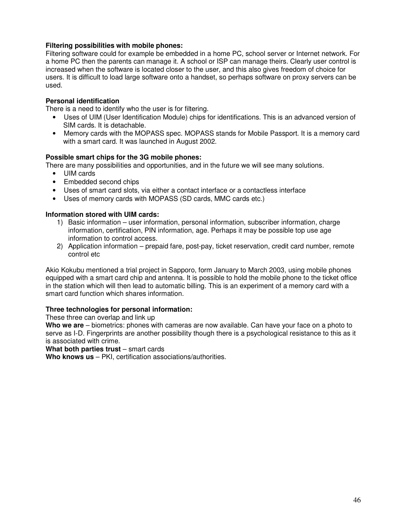#### **Filtering possibilities with mobile phones:**

Filtering software could for example be embedded in a home PC, school server or Internet network. For a home PC then the parents can manage it. A school or ISP can manage theirs. Clearly user control is increased when the software is located closer to the user, and this also gives freedom of choice for users. It is difficult to load large software onto a handset, so perhaps software on proxy servers can be used.

#### **Personal identification**

There is a need to identify who the user is for filtering.

- Uses of UIM (User Identification Module) chips for identifications. This is an advanced version of SIM cards. It is detachable.
- Memory cards with the MOPASS spec. MOPASS stands for Mobile Passport. It is a memory card with a smart card. It was launched in August 2002.

#### **Possible smart chips for the 3G mobile phones:**

There are many possibilities and opportunities, and in the future we will see many solutions.

- UIM cards
- Embedded second chips
- Uses of smart card slots, via either a contact interface or a contactless interface
- Uses of memory cards with MOPASS (SD cards, MMC cards etc.)

#### **Information stored with UIM cards:**

- 1) Basic information user information, personal information, subscriber information, charge information, certification, PIN information, age. Perhaps it may be possible top use age information to control access.
- 2) Application information prepaid fare, post-pay, ticket reservation, credit card number, remote control etc

Akio Kokubu mentioned a trial project in Sapporo, form January to March 2003, using mobile phones equipped with a smart card chip and antenna. It is possible to hold the mobile phone to the ticket office in the station which will then lead to automatic billing. This is an experiment of a memory card with a smart card function which shares information.

#### **Three technologies for personal information:**

These three can overlap and link up

**Who we are** – biometrics: phones with cameras are now available. Can have your face on a photo to serve as I-D. Fingerprints are another possibility though there is a psychological resistance to this as it is associated with crime.

**What both parties trust** – smart cards

**Who knows us** – PKI, certification associations/authorities.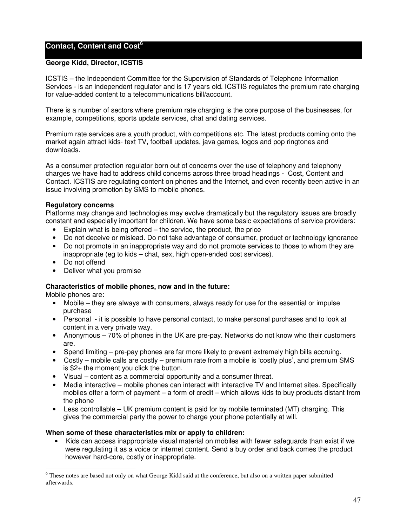#### **Contact, Content and Cost 6**

#### **George Kidd, Director, ICSTIS**

ICSTIS – the Independent Committee for the Supervision of Standards of Telephone Information Services - is an independent regulator and is 17 years old. ICSTIS regulates the premium rate charging for value-added content to a telecommunications bill/account.

There is a number of sectors where premium rate charging is the core purpose of the businesses, for example, competitions, sports update services, chat and dating services.

Premium rate services are a youth product, with competitions etc. The latest products coming onto the market again attract kids- text TV, football updates, java games, logos and pop ringtones and downloads.

As a consumer protection regulator born out of concerns over the use of telephony and telephony charges we have had to address child concerns across three broad headings - Cost, Content and Contact. ICSTIS are regulating content on phones and the Internet, and even recently been active in an issue involving promotion by SMS to mobile phones.

#### **Regulatory concerns**

Platforms may change and technologies may evolve dramatically but the regulatory issues are broadly constant and especially important for children. We have some basic expectations of service providers:

- $\bullet$  Explain what is being offered the service, the product, the price
- Do not deceive or mislead. Do not take advantage of consumer, product or technology ignorance
- Do not promote in an inappropriate way and do not promote services to those to whom they are inappropriate (eg to kids – chat, sex, high open-ended cost services).
- Do not offend
- Deliver what you promise

#### **Characteristics of mobile phones, now and in the future:**

Mobile phones are:

- Mobile they are always with consumers, always ready for use for the essential or impulse purchase
- Personal it is possible to have personal contact, to make personal purchases and to look at content in a very private way.
- Anonymous 70% of phones in the UK are pre-pay. Networks do not know who their customers are.
- Spend limiting pre-pay phones are far more likely to prevent extremely high bills accruing.
- Costly mobile calls are costly premium rate from a mobile is 'costly plus', and premium SMS is \$2+ the moment you click the button.
- Visual content as a commercial opportunity and a consumer threat.
- Media interactive mobile phones can interact with interactive TV and Internet sites. Specifically mobiles offer a form of payment – a form of credit – which allows kids to buy products distant from the phone
- Less controllable UK premium content is paid for by mobile terminated (MT) charging. This gives the commercial party the power to charge your phone potentially at will.

#### **When some of these characteristics mix or apply to children:**

• Kids can access inappropriate visual material on mobiles with fewer safeguards than exist if we were regulating it as a voice or internet content. Send a buy order and back comes the product however hard-core, costly or inappropriate.

<sup>&</sup>lt;sup>6</sup> These notes are based not only on what George Kidd said at the conference, but also on a written paper submitted afterwards.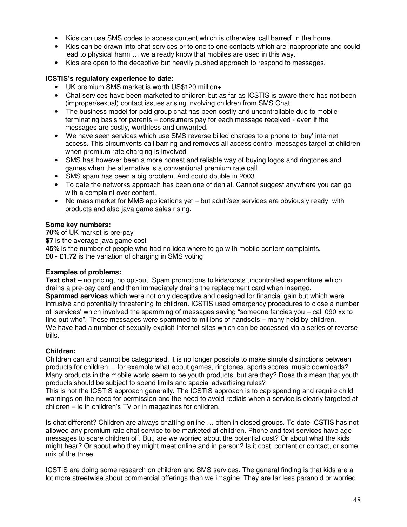- Kids can use SMS codes to access content which is otherwise 'call barred' in the home.
- Kids can be drawn into chat services or to one to one contacts which are inappropriate and could lead to physical harm … we already know that mobiles are used in this way.
- Kids are open to the deceptive but heavily pushed approach to respond to messages.

#### **ICSTIS's regulatory experience to date:**

- UK premium SMS market is worth US\$120 million+
- Chat services have been marketed to children but as far as ICSTIS is aware there has not been (improper/sexual) contact issues arising involving children from SMS Chat.
- The business model for paid group chat has been costly and uncontrollable due to mobile terminating basis for parents – consumers pay for each message received - even if the messages are costly, worthless and unwanted.
- We have seen services which use SMS reverse billed charges to a phone to 'buy' internet access. This circumvents call barring and removes all access control messages target at children when premium rate charging is involved
- SMS has however been a more honest and reliable way of buying logos and ringtones and games when the alternative is a conventional premium rate call.
- SMS spam has been a big problem. And could double in 2003.
- To date the networks approach has been one of denial. Cannot suggest anywhere you can go with a complaint over content.
- No mass market for MMS applications yet but adult/sex services are obviously ready, with products and also java game sales rising.

#### **Some key numbers:**

**70%** of UK market is pre-pay **\$7** is the average java game cost **45%** is the number of people who had no idea where to go with mobile content complaints. **£0 - £1.72** is the variation of charging in SMS voting

#### **Examples of problems:**

**Text chat** – no pricing, no opt-out. Spam promotions to kids/costs uncontrolled expenditure which drains a pre-pay card and then immediately drains the replacement card when inserted. **Spammed services** which were not only deceptive and designed for financial gain but which were intrusive and potentially threatening to children. ICSTIS used emergency procedures to close a number of 'services' which involved the spamming of messages saying "someone fancies you – call 090 xx to find out who". These messages were spammed to millions of handsets – many held by children. We have had a number of sexually explicit Internet sites which can be accessed via a series of reverse bills.

#### **Children:**

Children can and cannot be categorised. It is no longer possible to make simple distinctions between products for children ... for example what about games, ringtones, sports scores, music downloads? Many products in the mobile world seem to be youth products, but are they? Does this mean that youth products should be subject to spend limits and special advertising rules?

This is not the ICSTIS approach generally. The ICSTIS approach is to cap spending and require child warnings on the need for permission and the need to avoid redials when a service is clearly targeted at children – ie in children's TV or in magazines for children.

Is chat different? Children are always chatting online … often in closed groups. To date ICSTIS has not allowed any premium rate chat service to be marketed at children. Phone and text services have age messages to scare children off. But, are we worried about the potential cost? Or about what the kids might hear? Or about who they might meet online and in person? Is it cost, content or contact, or some mix of the three.

ICSTIS are doing some research on children and SMS services. The general finding is that kids are a lot more streetwise about commercial offerings than we imagine. They are far less paranoid or worried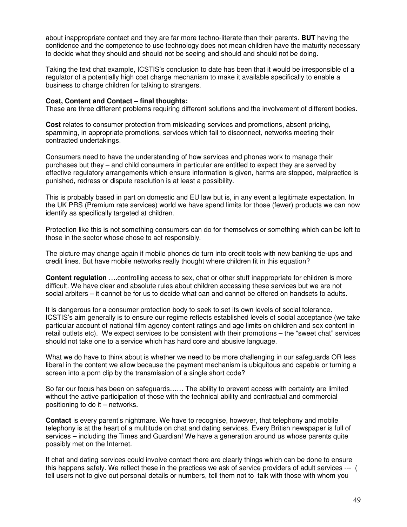about inappropriate contact and they are far more techno-literate than their parents. **BUT** having the confidence and the competence to use technology does not mean children have the maturity necessary to decide what they should and should not be seeing and should and should not be doing.

Taking the text chat example, ICSTIS's conclusion to date has been that it would be irresponsible of a regulator of a potentially high cost charge mechanism to make it available specifically to enable a business to charge children for talking to strangers.

#### **Cost, Content and Contact – final thoughts:**

These are three different problems requiring different solutions and the involvement of different bodies.

**Cost** relates to consumer protection from misleading services and promotions, absent pricing, spamming, in appropriate promotions, services which fail to disconnect, networks meeting their contracted undertakings.

Consumers need to have the understanding of how services and phones work to manage their purchases but they – and child consumers in particular are entitled to expect they are served by effective regulatory arrangements which ensure information is given, harms are stopped, malpractice is punished, redress or dispute resolution is at least a possibility.

This is probably based in part on domestic and EU law but is, in any event a legitimate expectation. In the UK PRS (Premium rate services) world we have spend limits for those (fewer) products we can now identify as specifically targeted at children.

Protection like this is not something consumers can do for themselves or something which can be left to those in the sector whose chose to act responsibly.

The picture may change again if mobile phones do turn into credit tools with new banking tie-ups and credit lines. But have mobile networks really thought where children fit in this equation?

**Content regulation** ….controlling access to sex, chat or other stuff inappropriate for children is more difficult. We have clear and absolute rules about children accessing these services but we are not social arbiters – it cannot be for us to decide what can and cannot be offered on handsets to adults.

It is dangerous for a consumer protection body to seek to set its own levels of social tolerance. ICSTIS's aim generally is to ensure our regime reflects established levels of social acceptance (we take particular account of national film agency content ratings and age limits on children and sex content in retail outlets etc). We expect services to be consistent with their promotions – the "sweet chat" services should not take one to a service which has hard core and abusive language.

What we do have to think about is whether we need to be more challenging in our safeguards OR less liberal in the content we allow because the payment mechanism is ubiquitous and capable or turning a screen into a porn clip by the transmission of a single short code?

So far our focus has been on safeguards…… The ability to prevent access with certainty are limited without the active participation of those with the technical ability and contractual and commercial positioning to do it – networks.

**Contact** is every parent's nightmare. We have to recognise, however, that telephony and mobile telephony is at the heart of a multitude on chat and dating services. Every British newspaper is full of services – including the Times and Guardian! We have a generation around us whose parents quite possibly met on the Internet.

If chat and dating services could involve contact there are clearly things which can be done to ensure this happens safely. We reflect these in the practices we ask of service providers of adult services --- ( tell users not to give out personal details or numbers, tell them not to talk with those with whom you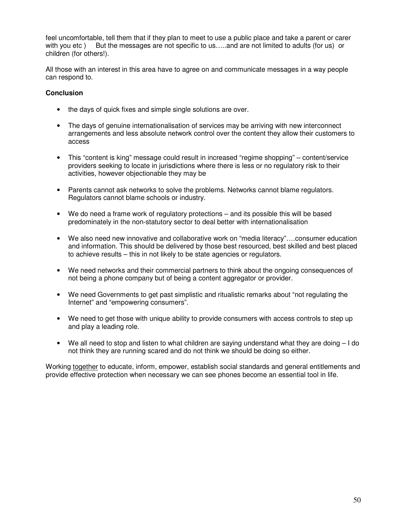feel uncomfortable, tell them that if they plan to meet to use a public place and take a parent or carer with you etc ) But the messages are not specific to us.....and are not limited to adults (for us) or children (for others!).

All those with an interest in this area have to agree on and communicate messages in a way people can respond to.

#### **Conclusion**

- the days of quick fixes and simple single solutions are over.
- The days of genuine internationalisation of services may be arriving with new interconnect arrangements and less absolute network control over the content they allow their customers to access
- This "content is king" message could result in increased "regime shopping" content/service providers seeking to locate in jurisdictions where there is less or no regulatory risk to their activities, however objectionable they may be
- Parents cannot ask networks to solve the problems. Networks cannot blame regulators. Regulators cannot blame schools or industry.
- We do need a frame work of regulatory protections and its possible this will be based predominately in the non-statutory sector to deal better with internationalisation
- We also need new innovative and collaborative work on "media literacy"….consumer education and information. This should be delivered by those best resourced, best skilled and best placed to achieve results – this in not likely to be state agencies or regulators.
- We need networks and their commercial partners to think about the ongoing consequences of not being a phone company but of being a content aggregator or provider.
- We need Governments to get past simplistic and ritualistic remarks about "not regulating the Internet" and "empowering consumers".
- We need to get those with unique ability to provide consumers with access controls to step up and play a leading role.
- We all need to stop and listen to what children are saying understand what they are doing I do not think they are running scared and do not think we should be doing so either.

Working together to educate, inform, empower, establish social standards and general entitlements and provide effective protection when necessary we can see phones become an essential tool in life.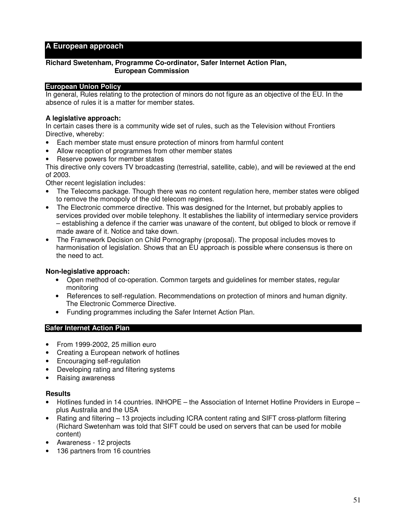#### **A European approach**

#### **Richard Swetenham, Programme Co-ordinator, Safer Internet Action Plan, European Commission**

#### **European Union Policy**

In general, Rules relating to the protection of minors do not figure as an objective of the EU. In the absence of rules it is a matter for member states.

#### **A legislative approach:**

In certain cases there is a community wide set of rules, such as the Television without Frontiers Directive, whereby:

- Each member state must ensure protection of minors from harmful content
- Allow reception of programmes from other member states
- Reserve powers for member states

This directive only covers TV broadcasting (terrestrial, satellite, cable), and will be reviewed at the end of 2003.

Other recent legislation includes:

- The Telecoms package. Though there was no content regulation here, member states were obliged to remove the monopoly of the old telecom regimes.
- The Electronic commerce directive. This was designed for the Internet, but probably applies to services provided over mobile telephony. It establishes the liability of intermediary service providers – establishing a defence if the carrier was unaware of the content, but obliged to block or remove if made aware of it. Notice and take down.
- The Framework Decision on Child Pornography (proposal). The proposal includes moves to harmonisation of legislation. Shows that an EU approach is possible where consensus is there on the need to act.

#### **Non-legislative approach:**

- Open method of co-operation. Common targets and guidelines for member states, regular monitoring
- References to self-regulation. Recommendations on protection of minors and human dignity. The Electronic Commerce Directive.
- Funding programmes including the Safer Internet Action Plan.

#### **Safer Internet Action Plan**

- From 1999-2002, 25 million euro
- Creating a European network of hotlines
- Encouraging self-regulation
- Developing rating and filtering systems
- Raising awareness

#### **Results**

- Hotlines funded in 14 countries. INHOPE the Association of Internet Hotline Providers in Europe plus Australia and the USA
- Rating and filtering 13 projects including ICRA content rating and SIFT cross-platform filtering (Richard Swetenham was told that SIFT could be used on servers that can be used for mobile content)
- Awareness 12 projects
- 136 partners from 16 countries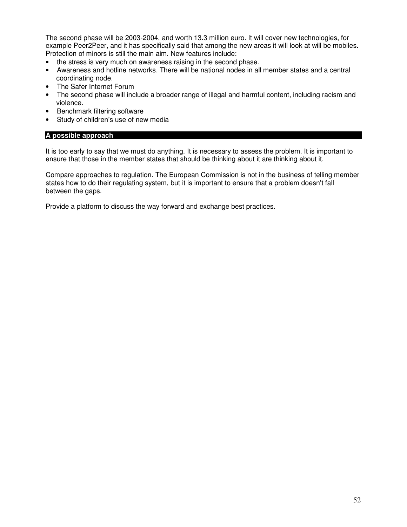The second phase will be 2003-2004, and worth 13.3 million euro. It will cover new technologies, for example Peer2Peer, and it has specifically said that among the new areas it will look at will be mobiles. Protection of minors is still the main aim. New features include:

- the stress is very much on awareness raising in the second phase.
- Awareness and hotline networks. There will be national nodes in all member states and a central coordinating node.
- The Safer Internet Forum
- The second phase will include a broader range of illegal and harmful content, including racism and violence.
- Benchmark filtering software
- Study of children's use of new media

#### **A possible approach**

It is too early to say that we must do anything. It is necessary to assess the problem. It is important to ensure that those in the member states that should be thinking about it are thinking about it.

Compare approaches to regulation. The European Commission is not in the business of telling member states how to do their regulating system, but it is important to ensure that a problem doesn't fall between the gaps.

Provide a platform to discuss the way forward and exchange best practices.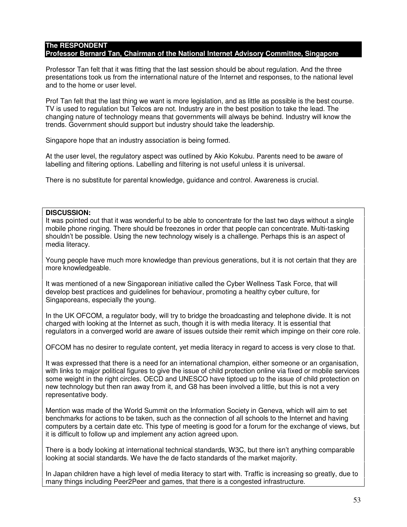#### **The RESPONDENT Professor Bernard Tan, Chairman of the National Internet Advisory Committee, Singapore**

Professor Tan felt that it was fitting that the last session should be about regulation. And the three presentations took us from the international nature of the Internet and responses, to the national level and to the home or user level.

Prof Tan felt that the last thing we want is more legislation, and as little as possible is the best course. TV is used to regulation but Telcos are not. Industry are in the best position to take the lead. The changing nature of technology means that governments will always be behind. Industry will know the trends. Government should support but industry should take the leadership.

Singapore hope that an industry association is being formed.

At the user level, the regulatory aspect was outlined by Akio Kokubu. Parents need to be aware of labelling and filtering options. Labelling and filtering is not useful unless it is universal.

There is no substitute for parental knowledge, guidance and control. Awareness is crucial.

#### **DISCUSSION:**

It was pointed out that it was wonderful to be able to concentrate for the last two days without a single mobile phone ringing. There should be freezones in order that people can concentrate. Multi-tasking shouldn't be possible. Using the new technology wisely is a challenge. Perhaps this is an aspect of media literacy.

Young people have much more knowledge than previous generations, but it is not certain that they are more knowledgeable.

It was mentioned of a new Singaporean initiative called the Cyber Wellness Task Force, that will develop best practices and guidelines for behaviour, promoting a healthy cyber culture, for Singaporeans, especially the young.

In the UK OFCOM, a regulator body, will try to bridge the broadcasting and telephone divide. It is not charged with looking at the Internet as such, though it is with media literacy. It is essential that regulators in a converged world are aware of issues outside their remit which impinge on their core role.

OFCOM has no desirer to regulate content, yet media literacy in regard to access is very close to that.

It was expressed that there is a need for an international champion, either someone or an organisation, with links to major political figures to give the issue of child protection online via fixed or mobile services some weight in the right circles. OECD and UNESCO have tiptoed up to the issue of child protection on new technology but then ran away from it, and G8 has been involved a little, but this is not a very representative body.

Mention was made of the World Summit on the Information Society in Geneva, which will aim to set benchmarks for actions to be taken, such as the connection of all schools to the Internet and having computers by a certain date etc. This type of meeting is good for a forum for the exchange of views, but it is difficult to follow up and implement any action agreed upon.

There is a body looking at international technical standards, W3C, but there isn't anything comparable looking at social standards. We have the de facto standards of the market majority.

In Japan children have a high level of media literacy to start with. Traffic is increasing so greatly, due to many things including Peer2Peer and games, that there is a congested infrastructure.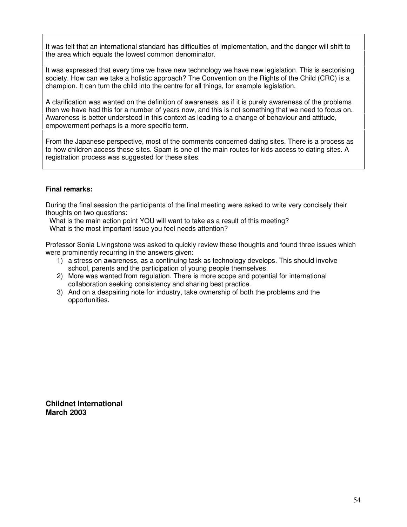It was felt that an international standard has difficulties of implementation, and the danger will shift to the area which equals the lowest common denominator.

It was expressed that every time we have new technology we have new legislation. This is sectorising society. How can we take a holistic approach? The Convention on the Rights of the Child (CRC) is a champion. It can turn the child into the centre for all things, for example legislation.

A clarification was wanted on the definition of awareness, as if it is purely awareness of the problems then we have had this for a number of years now, and this is not something that we need to focus on. Awareness is better understood in this context as leading to a change of behaviour and attitude, empowerment perhaps is a more specific term.

From the Japanese perspective, most of the comments concerned dating sites. There is a process as to how children access these sites. Spam is one of the main routes for kids access to dating sites. A registration process was suggested for these sites.

#### **Final remarks:**

During the final session the participants of the final meeting were asked to write very concisely their thoughts on two questions:

What is the main action point YOU will want to take as a result of this meeting? What is the most important issue you feel needs attention?

Professor Sonia Livingstone was asked to quickly review these thoughts and found three issues which were prominently recurring in the answers given:

- 1) a stress on awareness, as a continuing task as technology develops. This should involve school, parents and the participation of young people themselves.
- 2) More was wanted from regulation. There is more scope and potential for international collaboration seeking consistency and sharing best practice.
- 3) And on a despairing note for industry, take ownership of both the problems and the opportunities.

**Childnet International March 2003**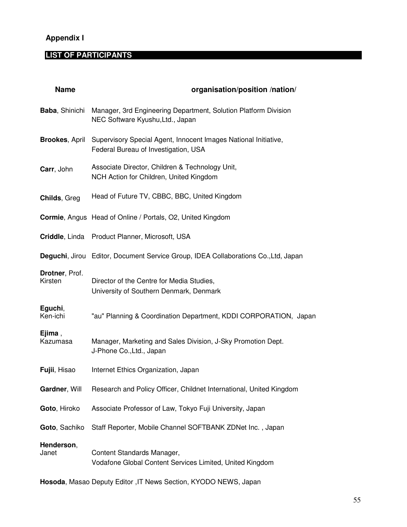# **Appendix I**

# **LIST OF PARTICIPANTS**

| <b>Name</b>               | organisation/position /nation/                                                                          |
|---------------------------|---------------------------------------------------------------------------------------------------------|
| <b>Baba, Shinichi</b>     | Manager, 3rd Engineering Department, Solution Platform Division<br>NEC Software Kyushu, Ltd., Japan     |
| <b>Brookes, April</b>     | Supervisory Special Agent, Innocent Images National Initiative,<br>Federal Bureau of Investigation, USA |
| Carr, John                | Associate Director, Children & Technology Unit,<br>NCH Action for Children, United Kingdom              |
| Childs, Greg              | Head of Future TV, CBBC, BBC, United Kingdom                                                            |
|                           | <b>Cormie, Angus Head of Online / Portals, O2, United Kingdom</b>                                       |
|                           | Criddle, Linda Product Planner, Microsoft, USA                                                          |
|                           | Deguchi, Jirou Editor, Document Service Group, IDEA Collaborations Co., Ltd, Japan                      |
| Drotner, Prof.<br>Kirsten | Director of the Centre for Media Studies,<br>University of Southern Denmark, Denmark                    |
| Eguchi,<br>Ken-ichi       | "au" Planning & Coordination Department, KDDI CORPORATION, Japan                                        |
| Ejima,<br>Kazumasa        | Manager, Marketing and Sales Division, J-Sky Promotion Dept.<br>J-Phone Co., Ltd., Japan                |
| Fujii, Hisao              | Internet Ethics Organization, Japan                                                                     |
| Gardner, Will             | Research and Policy Officer, Childnet International, United Kingdom                                     |
| Goto, Hiroko              | Associate Professor of Law, Tokyo Fuji University, Japan                                                |
| Goto, Sachiko             | Staff Reporter, Mobile Channel SOFTBANK ZDNet Inc., Japan                                               |
| Henderson,<br>Janet       | Content Standards Manager,<br>Vodafone Global Content Services Limited, United Kingdom                  |

**Hosoda**, Masao Deputy Editor ,IT News Section, KYODO NEWS, Japan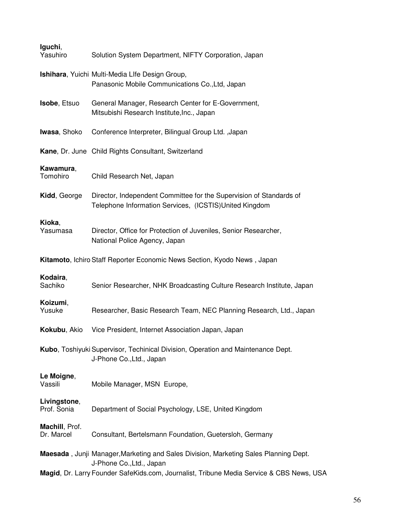| Iguchi,<br>Yasuhiro                                                      | Solution System Department, NIFTY Corporation, Japan                                                                           |
|--------------------------------------------------------------------------|--------------------------------------------------------------------------------------------------------------------------------|
|                                                                          | Ishihara, Yuichi Multi-Media Llfe Design Group,<br>Panasonic Mobile Communications Co., Ltd, Japan                             |
| Isobe, Etsuo                                                             | General Manager, Research Center for E-Government,<br>Mitsubishi Research Institute, Inc., Japan                               |
| Iwasa, Shoko                                                             | Conference Interpreter, Bilingual Group Ltd., Japan                                                                            |
|                                                                          | Kane, Dr. June Child Rights Consultant, Switzerland                                                                            |
| Kawamura,<br>Tomohiro                                                    | Child Research Net, Japan                                                                                                      |
| Kidd, George                                                             | Director, Independent Committee for the Supervision of Standards of<br>Telephone Information Services, (ICSTIS) United Kingdom |
| Kioka,<br>Yasumasa                                                       | Director, Office for Protection of Juveniles, Senior Researcher,<br>National Police Agency, Japan                              |
| Kitamoto, Ichiro Staff Reporter Economic News Section, Kyodo News, Japan |                                                                                                                                |
| Kodaira,<br>Sachiko                                                      | Senior Researcher, NHK Broadcasting Culture Research Institute, Japan                                                          |
| Koizumi,<br>Yusuke                                                       | Researcher, Basic Research Team, NEC Planning Research, Ltd., Japan                                                            |
| Kokubu, Akio                                                             | Vice President, Internet Association Japan, Japan                                                                              |
|                                                                          | Kubo, Toshiyuki Supervisor, Techinical Division, Operation and Maintenance Dept.<br>J-Phone Co., Ltd., Japan                   |
| Le Moigne,<br>Vassili                                                    | Mobile Manager, MSN Europe,                                                                                                    |
| Livingstone,<br>Prof. Sonia                                              | Department of Social Psychology, LSE, United Kingdom                                                                           |
| Machill, Prof.<br>Dr. Marcel                                             | Consultant, Bertelsmann Foundation, Guetersloh, Germany                                                                        |
|                                                                          | Maesada, Junji Manager, Marketing and Sales Division, Marketing Sales Planning Dept.<br>J-Phone Co., Ltd., Japan               |
|                                                                          | Magid, Dr. Larry Founder SafeKids.com, Journalist, Tribune Media Service & CBS News, USA                                       |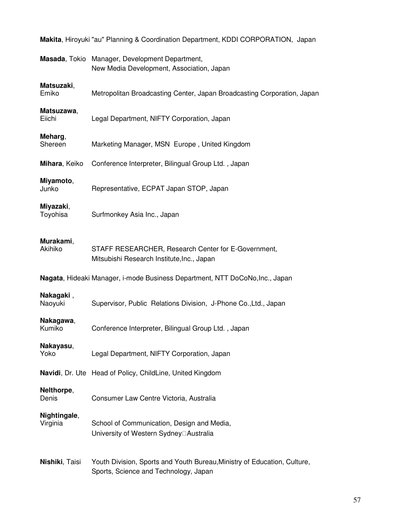|                                                                              | Masada, Tokio Manager, Development Department,<br>New Media Development, Association, Japan                       |
|------------------------------------------------------------------------------|-------------------------------------------------------------------------------------------------------------------|
| Matsuzaki,<br>Emiko                                                          | Metropolitan Broadcasting Center, Japan Broadcasting Corporation, Japan                                           |
| Matsuzawa,<br>Eiichi                                                         | Legal Department, NIFTY Corporation, Japan                                                                        |
| Meharg,<br>Shereen                                                           | Marketing Manager, MSN Europe, United Kingdom                                                                     |
| Mihara, Keiko                                                                | Conference Interpreter, Bilingual Group Ltd., Japan                                                               |
| Miyamoto,<br>Junko                                                           | Representative, ECPAT Japan STOP, Japan                                                                           |
| Miyazaki,<br>Toyohisa                                                        | Surfmonkey Asia Inc., Japan                                                                                       |
| Murakami,<br>Akihiko                                                         | STAFF RESEARCHER, Research Center for E-Government,<br>Mitsubishi Research Institute, Inc., Japan                 |
| Nagata, Hideaki Manager, i-mode Business Department, NTT DoCoNo, Inc., Japan |                                                                                                                   |
| Nakagaki,<br>Naoyuki                                                         | Supervisor, Public Relations Division, J-Phone Co., Ltd., Japan                                                   |
| Nakagawa,<br>Kumiko                                                          | Conference Interpreter, Bilingual Group Ltd., Japan                                                               |
| Nakayasu,<br>Yoko                                                            | Legal Department, NIFTY Corporation, Japan                                                                        |
|                                                                              | Navidi, Dr. Ute Head of Policy, ChildLine, United Kingdom                                                         |
| Nelthorpe,<br>Denis                                                          | Consumer Law Centre Victoria, Australia                                                                           |
| Nightingale,<br>Virginia                                                     | School of Communication, Design and Media,<br>University of Western Sydney <sup>[]</sup> Australia                |
| Nishiki, Taisi                                                               | Youth Division, Sports and Youth Bureau, Ministry of Education, Culture,<br>Sports, Science and Technology, Japan |

**Makita**, Hiroyuki "au" Planning & Coordination Department, KDDI CORPORATION, Japan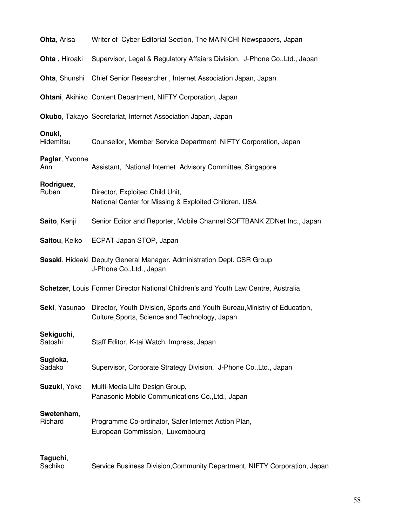| <b>Ohta, Arisa</b>    | Writer of Cyber Editorial Section, The MAINICHI Newspapers, Japan                                                           |
|-----------------------|-----------------------------------------------------------------------------------------------------------------------------|
| Ohta, Hiroaki         | Supervisor, Legal & Regulatory Affaiars Division, J-Phone Co., Ltd., Japan                                                  |
| <b>Ohta, Shunshi</b>  | Chief Senior Researcher, Internet Association Japan, Japan                                                                  |
|                       | Ohtani, Akihiko Content Department, NIFTY Corporation, Japan                                                                |
|                       | Okubo, Takayo Secretariat, Internet Association Japan, Japan                                                                |
| Onuki,<br>Hidemitsu   | Counsellor, Member Service Department NIFTY Corporation, Japan                                                              |
| Paglar, Yvonne<br>Ann | Assistant, National Internet Advisory Committee, Singapore                                                                  |
| Rodriguez,<br>Ruben   | Director, Exploited Child Unit,<br>National Center for Missing & Exploited Children, USA                                    |
| Saito, Kenji          | Senior Editor and Reporter, Mobile Channel SOFTBANK ZDNet Inc., Japan                                                       |
| Saitou, Keiko         | ECPAT Japan STOP, Japan                                                                                                     |
|                       | Sasaki, Hideaki Deputy General Manager, Administration Dept. CSR Group<br>J-Phone Co., Ltd., Japan                          |
|                       | Schetzer, Louis Former Director National Children's and Youth Law Centre, Australia                                         |
| Seki, Yasunao         | Director, Youth Division, Sports and Youth Bureau, Ministry of Education,<br>Culture, Sports, Science and Technology, Japan |
| Sekiguchi,<br>Satoshi | Staff Editor, K-tai Watch, Impress, Japan                                                                                   |
| Sugioka,<br>Sadako    | Supervisor, Corporate Strategy Division, J-Phone Co., Ltd., Japan                                                           |
| Suzuki, Yoko          | Multi-Media Life Design Group,<br>Panasonic Mobile Communications Co., Ltd., Japan                                          |
| Swetenham,<br>Richard | Programme Co-ordinator, Safer Internet Action Plan,<br>European Commission, Luxembourg                                      |
| Taguchi,              |                                                                                                                             |

**Taguchi**, Service Business Division, Community Department, NIFTY Corporation, Japan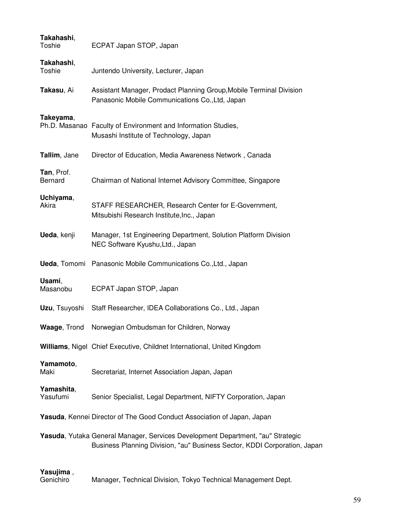| Takahashi,<br><b>Toshie</b> | ECPAT Japan STOP, Japan                                                                                                                                      |
|-----------------------------|--------------------------------------------------------------------------------------------------------------------------------------------------------------|
| Takahashi,<br><b>Toshie</b> | Juntendo University, Lecturer, Japan                                                                                                                         |
| Takasu, Ai                  | Assistant Manager, Prodact Planning Group, Mobile Terminal Division<br>Panasonic Mobile Communications Co., Ltd, Japan                                       |
| Takeyama,                   | Ph.D. Masanao Faculty of Environment and Information Studies,<br>Musashi Institute of Technology, Japan                                                      |
| Tallim, Jane                | Director of Education, Media Awareness Network, Canada                                                                                                       |
| Tan, Prof.<br>Bernard       | Chairman of National Internet Advisory Committee, Singapore                                                                                                  |
| Uchiyama,<br>Akira          | STAFF RESEARCHER, Research Center for E-Government,<br>Mitsubishi Research Institute, Inc., Japan                                                            |
| Ueda, kenji                 | Manager, 1st Engineering Department, Solution Platform Division<br>NEC Software Kyushu, Ltd., Japan                                                          |
|                             | Ueda, Tomomi Panasonic Mobile Communications Co., Ltd., Japan                                                                                                |
| Usami,<br>Masanobu          | ECPAT Japan STOP, Japan                                                                                                                                      |
| Uzu, Tsuyoshi               | Staff Researcher, IDEA Collaborations Co., Ltd., Japan                                                                                                       |
| Waage, Trond                | Norwegian Ombudsman for Children, Norway                                                                                                                     |
|                             | Williams, Nigel Chief Executive, Childnet International, United Kingdom                                                                                      |
| Yamamoto,<br>Maki           | Secretariat, Internet Association Japan, Japan                                                                                                               |
| Yamashita,<br>Yasufumi      | Senior Specialist, Legal Department, NIFTY Corporation, Japan                                                                                                |
|                             | Yasuda, Kennei Director of The Good Conduct Association of Japan, Japan                                                                                      |
|                             | Yasuda, Yutaka General Manager, Services Development Department, "au" Strategic<br>Business Planning Division, "au" Business Sector, KDDI Corporation, Japan |

**Yasujima** , Manager, Technical Division, Tokyo Technical Management Dept.